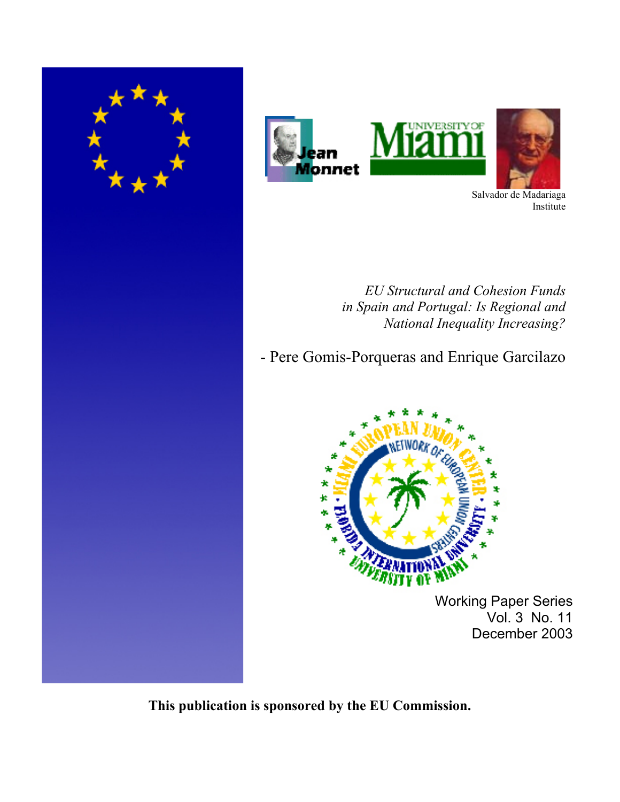





Salvador de Madariaga Institute

*EU Structural and Cohesion Funds in Spain and Portugal: Is Regional and National Inequality Increasing?*

- Pere Gomis-Porqueras and Enrique Garcilazo



Working Paper Series Vol. 3 No. 11 December 2003

**This publication is sponsored by the EU Commission.**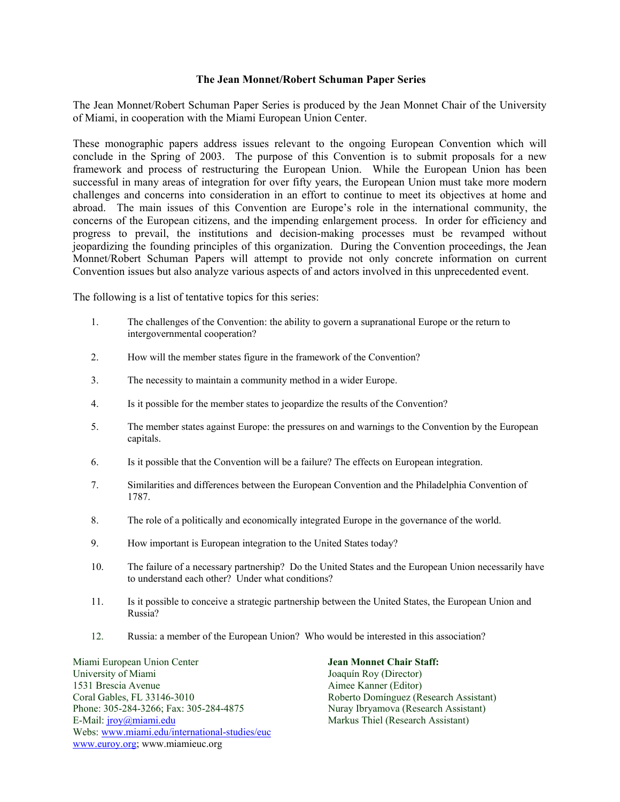#### **The Jean Monnet/Robert Schuman Paper Series**

The Jean Monnet/Robert Schuman Paper Series is produced by the Jean Monnet Chair of the University of Miami, in cooperation with the Miami European Union Center.

These monographic papers address issues relevant to the ongoing European Convention which will conclude in the Spring of 2003. The purpose of this Convention is to submit proposals for a new framework and process of restructuring the European Union. While the European Union has been successful in many areas of integration for over fifty years, the European Union must take more modern challenges and concerns into consideration in an effort to continue to meet its objectives at home and abroad. The main issues of this Convention are Europe's role in the international community, the concerns of the European citizens, and the impending enlargement process. In order for efficiency and progress to prevail, the institutions and decision-making processes must be revamped without jeopardizing the founding principles of this organization. During the Convention proceedings, the Jean Monnet/Robert Schuman Papers will attempt to provide not only concrete information on current Convention issues but also analyze various aspects of and actors involved in this unprecedented event.

The following is a list of tentative topics for this series:

- 1. The challenges of the Convention: the ability to govern a supranational Europe or the return to intergovernmental cooperation?
- 2. How will the member states figure in the framework of the Convention?
- 3. The necessity to maintain a community method in a wider Europe.
- 4. Is it possible for the member states to jeopardize the results of the Convention?
- 5. The member states against Europe: the pressures on and warnings to the Convention by the European capitals.
- 6. Is it possible that the Convention will be a failure? The effects on European integration.
- 7. Similarities and differences between the European Convention and the Philadelphia Convention of 1787.
- 8. The role of a politically and economically integrated Europe in the governance of the world.
- 9. How important is European integration to the United States today?
- 10. The failure of a necessary partnership? Do the United States and the European Union necessarily have to understand each other? Under what conditions?
- 11. Is it possible to conceive a strategic partnership between the United States, the European Union and Russia?
- 12. Russia: a member of the European Union? Who would be interested in this association?

Miami European Union Center **Jean Monnet Chair Staff:**  University of Miami Joaquín Roy (Director) 1531 Brescia Avenue **Aimee Kanner (Editor)** Coral Gables, FL 33146-3010 Roberto Domínguez (Research Assistant) Phone: 305-284-3266; Fax: 305-284-4875 E-Mail: jroy@miami.edu Markus Thiel (Research Assistant) Webs: www.miami.edu/international-studies/euc www.euroy.org; www.miamieuc.org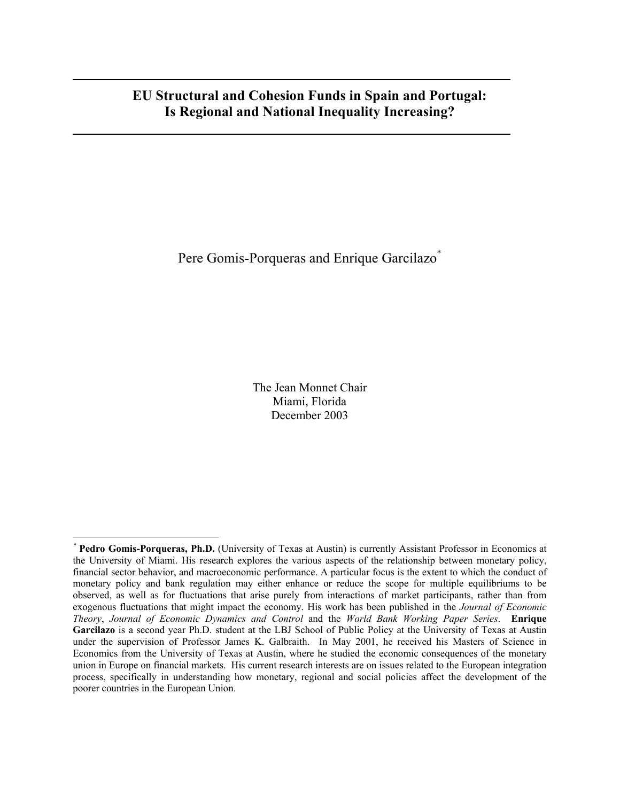# **EU Structural and Cohesion Funds in Spain and Portugal: Is Regional and National Inequality Increasing?**

Pere Gomis-Porqueras and Enrique Garcilazo\*

The Jean Monnet Chair Miami, Florida December 2003

*<sup>\*</sup>* **Pedro Gomis-Porqueras, Ph.D.** (University of Texas at Austin) is currently Assistant Professor in Economics at the University of Miami. His research explores the various aspects of the relationship between monetary policy, financial sector behavior, and macroeconomic performance. A particular focus is the extent to which the conduct of monetary policy and bank regulation may either enhance or reduce the scope for multiple equilibriums to be observed, as well as for fluctuations that arise purely from interactions of market participants, rather than from exogenous fluctuations that might impact the economy. His work has been published in the *Journal of Economic Theory*, *Journal of Economic Dynamics and Control* and the *World Bank Working Paper Series*. **Enrique Garcilazo** is a second year Ph.D. student at the LBJ School of Public Policy at the University of Texas at Austin under the supervision of Professor James K. Galbraith. In May 2001, he received his Masters of Science in Economics from the University of Texas at Austin, where he studied the economic consequences of the monetary union in Europe on financial markets. His current research interests are on issues related to the European integration process, specifically in understanding how monetary, regional and social policies affect the development of the poorer countries in the European Union.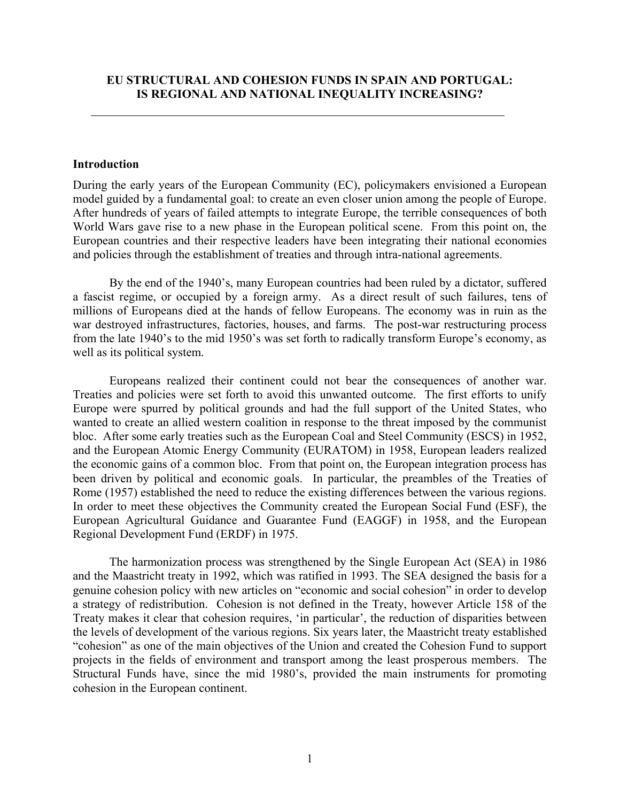### **Introduction**

During the early years of the European Community (EC), policymakers envisioned a European model guided by a fundamental goal: to create an even closer union among the people of Europe. After hundreds of years of failed attempts to integrate Europe, the terrible consequences of both World Wars gave rise to a new phase in the European political scene. From this point on, the European countries and their respective leaders have been integrating their national economies and policies through the establishment of treaties and through intra-national agreements.

By the end of the 1940's, many European countries had been ruled by a dictator, suffered a fascist regime, or occupied by a foreign army. As a direct result of such failures, tens of millions of Europeans died at the hands of fellow Europeans. The economy was in ruin as the war destroyed infrastructures, factories, houses, and farms. The post-war restructuring process from the late 1940's to the mid 1950's was set forth to radically transform Europe's economy, as well as its political system.

Europeans realized their continent could not bear the consequences of another war. Treaties and policies were set forth to avoid this unwanted outcome. The first efforts to unify Europe were spurred by political grounds and had the full support of the United States, who wanted to create an allied western coalition in response to the threat imposed by the communist bloc. After some early treaties such as the European Coal and Steel Community (ESCS) in 1952, and the European Atomic Energy Community (EURATOM) in 1958, European leaders realized the economic gains of a common bloc. From that point on, the European integration process has been driven by political and economic goals. In particular, the preambles of the Treaties of Rome (1957) established the need to reduce the existing differences between the various regions. In order to meet these objectives the Community created the European Social Fund (ESF), the European Agricultural Guidance and Guarantee Fund (EAGGF) in 1958, and the European Regional Development Fund (ERDF) in 1975.

The harmonization process was strengthened by the Single European Act (SEA) in 1986 and the Maastricht treaty in 1992, which was ratified in 1993. The SEA designed the basis for a genuine cohesion policy with new articles on "economic and social cohesion" in order to develop a strategy of redistribution. Cohesion is not defined in the Treaty, however Article 158 of the Treaty makes it clear that cohesion requires, 'in particular', the reduction of disparities between the levels of development of the various regions. Six years later, the Maastricht treaty established "cohesion" as one of the main objectives of the Union and created the Cohesion Fund to support projects in the fields of environment and transport among the least prosperous members. The Structural Funds have, since the mid 1980's, provided the main instruments for promoting cohesion in the European continent.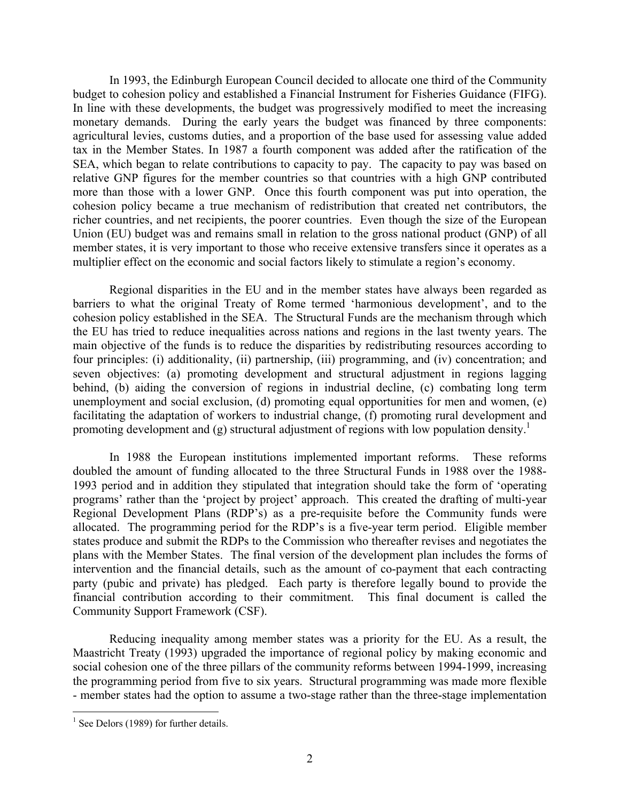In 1993, the Edinburgh European Council decided to allocate one third of the Community budget to cohesion policy and established a Financial Instrument for Fisheries Guidance (FIFG). In line with these developments, the budget was progressively modified to meet the increasing monetary demands. During the early years the budget was financed by three components: agricultural levies, customs duties, and a proportion of the base used for assessing value added tax in the Member States. In 1987 a fourth component was added after the ratification of the SEA, which began to relate contributions to capacity to pay. The capacity to pay was based on relative GNP figures for the member countries so that countries with a high GNP contributed more than those with a lower GNP. Once this fourth component was put into operation, the cohesion policy became a true mechanism of redistribution that created net contributors, the richer countries, and net recipients, the poorer countries. Even though the size of the European Union (EU) budget was and remains small in relation to the gross national product (GNP) of all member states, it is very important to those who receive extensive transfers since it operates as a multiplier effect on the economic and social factors likely to stimulate a region's economy.

Regional disparities in the EU and in the member states have always been regarded as barriers to what the original Treaty of Rome termed 'harmonious development', and to the cohesion policy established in the SEA. The Structural Funds are the mechanism through which the EU has tried to reduce inequalities across nations and regions in the last twenty years. The main objective of the funds is to reduce the disparities by redistributing resources according to four principles: (i) additionality, (ii) partnership, (iii) programming, and (iv) concentration; and seven objectives: (a) promoting development and structural adjustment in regions lagging behind, (b) aiding the conversion of regions in industrial decline, (c) combating long term unemployment and social exclusion, (d) promoting equal opportunities for men and women, (e) facilitating the adaptation of workers to industrial change, (f) promoting rural development and promoting development and (g) structural adjustment of regions with low population density.<sup>1</sup>

In 1988 the European institutions implemented important reforms. These reforms doubled the amount of funding allocated to the three Structural Funds in 1988 over the 1988- 1993 period and in addition they stipulated that integration should take the form of 'operating programs' rather than the 'project by project' approach. This created the drafting of multi-year Regional Development Plans (RDP's) as a pre-requisite before the Community funds were allocated. The programming period for the RDP's is a five-year term period. Eligible member states produce and submit the RDPs to the Commission who thereafter revises and negotiates the plans with the Member States. The final version of the development plan includes the forms of intervention and the financial details, such as the amount of co-payment that each contracting party (pubic and private) has pledged. Each party is therefore legally bound to provide the financial contribution according to their commitment. This final document is called the Community Support Framework (CSF).

Reducing inequality among member states was a priority for the EU. As a result, the Maastricht Treaty (1993) upgraded the importance of regional policy by making economic and social cohesion one of the three pillars of the community reforms between 1994-1999, increasing the programming period from five to six years. Structural programming was made more flexible - member states had the option to assume a two-stage rather than the three-stage implementation

<u>.</u>

 $<sup>1</sup>$  See Delors (1989) for further details.</sup>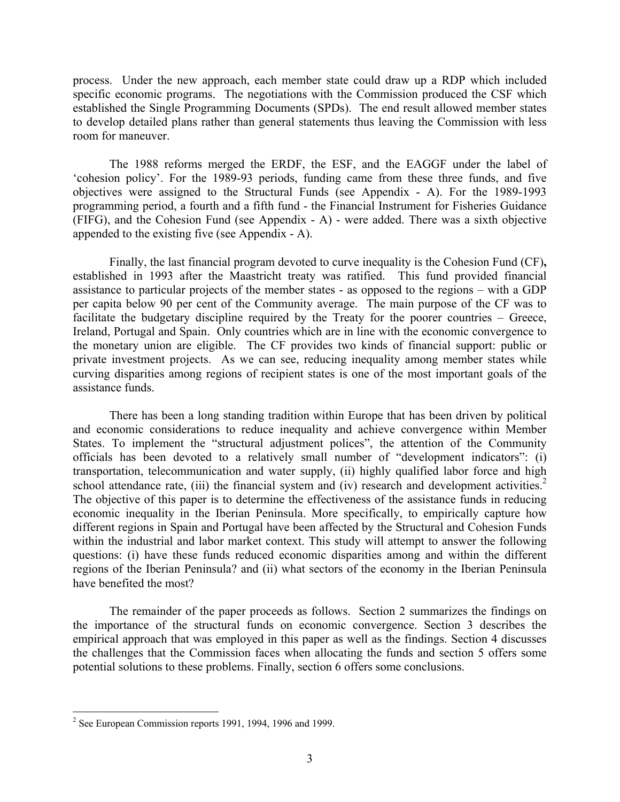process. Under the new approach, each member state could draw up a RDP which included specific economic programs. The negotiations with the Commission produced the CSF which established the Single Programming Documents (SPDs). The end result allowed member states to develop detailed plans rather than general statements thus leaving the Commission with less room for maneuver.

The 1988 reforms merged the ERDF, the ESF, and the EAGGF under the label of 'cohesion policy'. For the 1989-93 periods, funding came from these three funds, and five objectives were assigned to the Structural Funds (see Appendix - A). For the 1989-1993 programming period, a fourth and a fifth fund - the Financial Instrument for Fisheries Guidance (FIFG), and the Cohesion Fund (see Appendix - A) - were added. There was a sixth objective appended to the existing five (see Appendix - A).

Finally, the last financial program devoted to curve inequality is the Cohesion Fund (CF)**,**  established in 1993 after the Maastricht treaty was ratified. This fund provided financial assistance to particular projects of the member states - as opposed to the regions – with a GDP per capita below 90 per cent of the Community average. The main purpose of the CF was to facilitate the budgetary discipline required by the Treaty for the poorer countries – Greece, Ireland, Portugal and Spain. Only countries which are in line with the economic convergence to the monetary union are eligible. The CF provides two kinds of financial support: public or private investment projects. As we can see, reducing inequality among member states while curving disparities among regions of recipient states is one of the most important goals of the assistance funds.

There has been a long standing tradition within Europe that has been driven by political and economic considerations to reduce inequality and achieve convergence within Member States. To implement the "structural adjustment polices", the attention of the Community officials has been devoted to a relatively small number of "development indicators": (i) transportation, telecommunication and water supply, (ii) highly qualified labor force and high school attendance rate, (iii) the financial system and (iv) research and development activities.<sup>2</sup> The objective of this paper is to determine the effectiveness of the assistance funds in reducing economic inequality in the Iberian Peninsula. More specifically, to empirically capture how different regions in Spain and Portugal have been affected by the Structural and Cohesion Funds within the industrial and labor market context. This study will attempt to answer the following questions: (i) have these funds reduced economic disparities among and within the different regions of the Iberian Peninsula? and (ii) what sectors of the economy in the Iberian Peninsula have benefited the most?

The remainder of the paper proceeds as follows. Section 2 summarizes the findings on the importance of the structural funds on economic convergence. Section 3 describes the empirical approach that was employed in this paper as well as the findings. Section 4 discusses the challenges that the Commission faces when allocating the funds and section 5 offers some potential solutions to these problems. Finally, section 6 offers some conclusions.

<sup>&</sup>lt;sup>2</sup> See European Commission reports 1991, 1994, 1996 and 1999.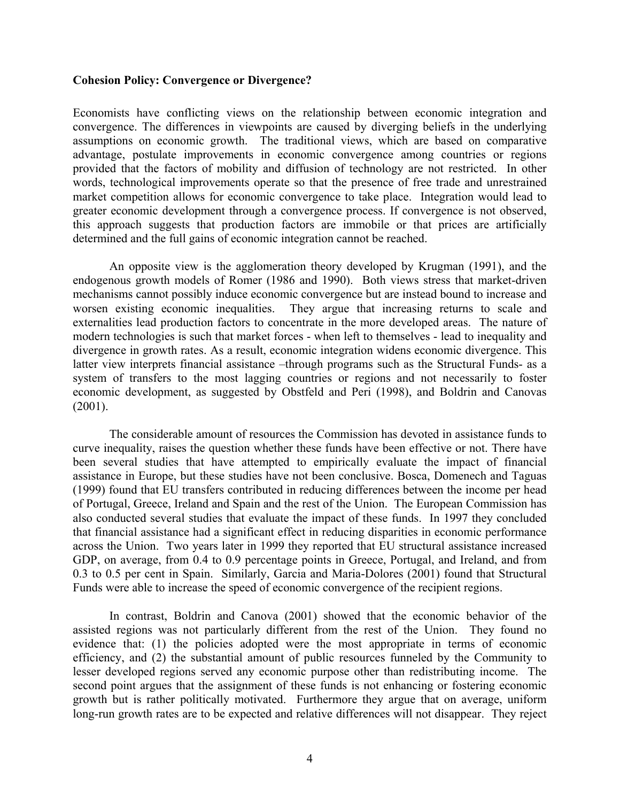#### **Cohesion Policy: Convergence or Divergence?**

Economists have conflicting views on the relationship between economic integration and convergence. The differences in viewpoints are caused by diverging beliefs in the underlying assumptions on economic growth. The traditional views, which are based on comparative advantage, postulate improvements in economic convergence among countries or regions provided that the factors of mobility and diffusion of technology are not restricted. In other words, technological improvements operate so that the presence of free trade and unrestrained market competition allows for economic convergence to take place. Integration would lead to greater economic development through a convergence process. If convergence is not observed, this approach suggests that production factors are immobile or that prices are artificially determined and the full gains of economic integration cannot be reached.

 An opposite view is the agglomeration theory developed by Krugman (1991), and the endogenous growth models of Romer (1986 and 1990). Both views stress that market-driven mechanisms cannot possibly induce economic convergence but are instead bound to increase and worsen existing economic inequalities. They argue that increasing returns to scale and externalities lead production factors to concentrate in the more developed areas. The nature of modern technologies is such that market forces - when left to themselves - lead to inequality and divergence in growth rates. As a result, economic integration widens economic divergence. This latter view interprets financial assistance –through programs such as the Structural Funds- as a system of transfers to the most lagging countries or regions and not necessarily to foster economic development, as suggested by Obstfeld and Peri (1998), and Boldrin and Canovas (2001).

The considerable amount of resources the Commission has devoted in assistance funds to curve inequality, raises the question whether these funds have been effective or not. There have been several studies that have attempted to empirically evaluate the impact of financial assistance in Europe, but these studies have not been conclusive. Bosca, Domenech and Taguas (1999) found that EU transfers contributed in reducing differences between the income per head of Portugal, Greece, Ireland and Spain and the rest of the Union. The European Commission has also conducted several studies that evaluate the impact of these funds. In 1997 they concluded that financial assistance had a significant effect in reducing disparities in economic performance across the Union. Two years later in 1999 they reported that EU structural assistance increased GDP, on average, from 0.4 to 0.9 percentage points in Greece, Portugal, and Ireland, and from 0.3 to 0.5 per cent in Spain. Similarly, Garcia and Maria-Dolores (2001) found that Structural Funds were able to increase the speed of economic convergence of the recipient regions.

In contrast, Boldrin and Canova (2001) showed that the economic behavior of the assisted regions was not particularly different from the rest of the Union. They found no evidence that: (1) the policies adopted were the most appropriate in terms of economic efficiency, and (2) the substantial amount of public resources funneled by the Community to lesser developed regions served any economic purpose other than redistributing income. The second point argues that the assignment of these funds is not enhancing or fostering economic growth but is rather politically motivated. Furthermore they argue that on average, uniform long-run growth rates are to be expected and relative differences will not disappear. They reject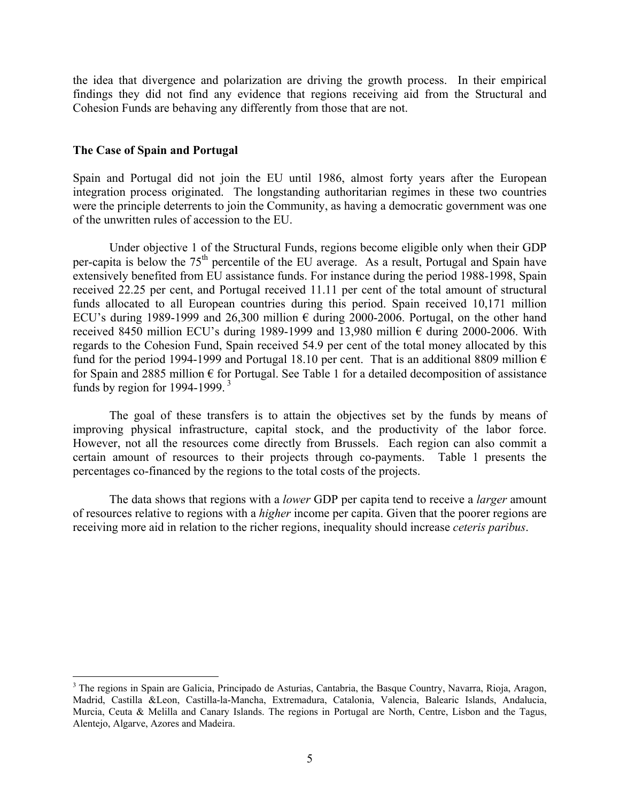the idea that divergence and polarization are driving the growth process. In their empirical findings they did not find any evidence that regions receiving aid from the Structural and Cohesion Funds are behaving any differently from those that are not.

### **The Case of Spain and Portugal**

 $\overline{a}$ 

Spain and Portugal did not join the EU until 1986, almost forty years after the European integration process originated. The longstanding authoritarian regimes in these two countries were the principle deterrents to join the Community, as having a democratic government was one of the unwritten rules of accession to the EU.

Under objective 1 of the Structural Funds, regions become eligible only when their GDP per-capita is below the 75<sup>th</sup> percentile of the EU average. As a result, Portugal and Spain have extensively benefited from EU assistance funds. For instance during the period 1988-1998, Spain received 22.25 per cent, and Portugal received 11.11 per cent of the total amount of structural funds allocated to all European countries during this period. Spain received 10,171 million ECU's during 1989-1999 and 26,300 million  $\epsilon$  during 2000-2006. Portugal, on the other hand received 8450 million ECU's during 1989-1999 and 13,980 million  $\epsilon$  during 2000-2006. With regards to the Cohesion Fund, Spain received 54.9 per cent of the total money allocated by this fund for the period 1994-1999 and Portugal 18.10 per cent. That is an additional 8809 million  $\epsilon$ for Spain and 2885 million  $\epsilon$  for Portugal. See Table 1 for a detailed decomposition of assistance funds by region for 1994-1999. $3$ 

The goal of these transfers is to attain the objectives set by the funds by means of improving physical infrastructure, capital stock, and the productivity of the labor force. However, not all the resources come directly from Brussels. Each region can also commit a certain amount of resources to their projects through co-payments. Table 1 presents the percentages co-financed by the regions to the total costs of the projects.

The data shows that regions with a *lower* GDP per capita tend to receive a *larger* amount of resources relative to regions with a *higher* income per capita. Given that the poorer regions are receiving more aid in relation to the richer regions, inequality should increase *ceteris paribus*.

<sup>&</sup>lt;sup>3</sup> The regions in Spain are Galicia, Principado de Asturias, Cantabria, the Basque Country, Navarra, Rioja, Aragon, Madrid, Castilla &Leon, Castilla-la-Mancha, Extremadura, Catalonia, Valencia, Balearic Islands, Andalucia, Murcia, Ceuta & Melilla and Canary Islands. The regions in Portugal are North, Centre, Lisbon and the Tagus, Alentejo, Algarve, Azores and Madeira.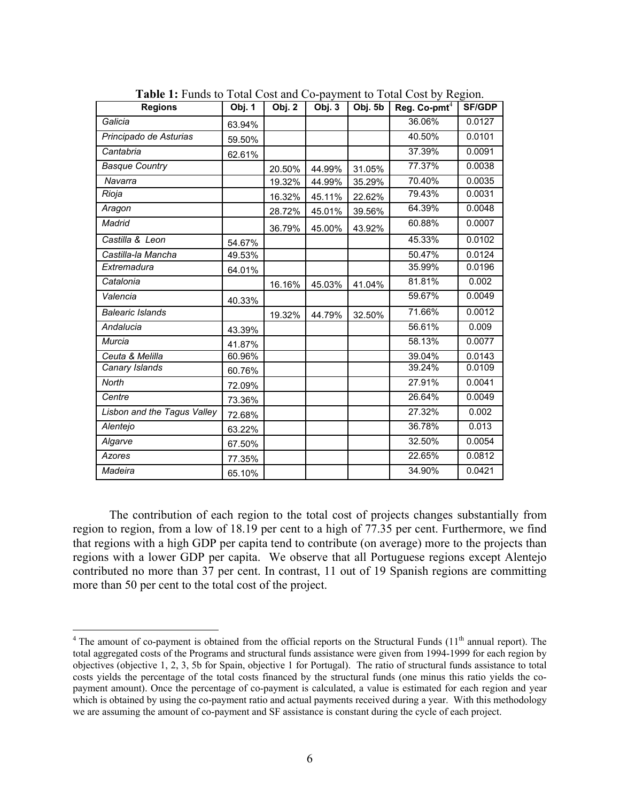| <b>Regions</b>              | Obj. 1 | Obj. 2 | Obj. 3 | Obj. 5b | Reg. Co-pm $t^4$ | <b>SF/GDP</b> |
|-----------------------------|--------|--------|--------|---------|------------------|---------------|
| Galicia                     | 63.94% |        |        |         | 36.06%           | 0.0127        |
| Principado de Asturias      | 59.50% |        |        |         | 40.50%           | 0.0101        |
| Cantabria                   | 62.61% |        |        |         | 37.39%           | 0.0091        |
| <b>Basque Country</b>       |        | 20.50% | 44.99% | 31.05%  | 77.37%           | 0.0038        |
| Navarra                     |        | 19.32% | 44.99% | 35.29%  | 70.40%           | 0.0035        |
| Rioja                       |        | 16.32% | 45.11% | 22.62%  | 79.43%           | 0.0031        |
| Aragon                      |        | 28.72% | 45.01% | 39.56%  | 64.39%           | 0.0048        |
| Madrid                      |        | 36.79% | 45.00% | 43.92%  | 60.88%           | 0.0007        |
| Castilla & Leon             | 54.67% |        |        |         | 45.33%           | 0.0102        |
| Castilla-la Mancha          | 49.53% |        |        |         | 50.47%           | 0.0124        |
| Extremadura                 | 64.01% |        |        |         | 35.99%           | 0.0196        |
| Catalonia                   |        | 16.16% | 45.03% | 41.04%  | 81.81%           | 0.002         |
| Valencia                    | 40.33% |        |        |         | 59.67%           | 0.0049        |
| <b>Balearic Islands</b>     |        | 19.32% | 44.79% | 32.50%  | 71.66%           | 0.0012        |
| Andalucia                   | 43.39% |        |        |         | 56.61%           | 0.009         |
| Murcia                      | 41.87% |        |        |         | 58.13%           | 0.0077        |
| Ceuta & Melilla             | 60.96% |        |        |         | 39.04%           | 0.0143        |
| Canary Islands              | 60.76% |        |        |         | 39.24%           | 0.0109        |
| North                       | 72.09% |        |        |         | 27.91%           | 0.0041        |
| Centre                      | 73.36% |        |        |         | 26.64%           | 0.0049        |
| Lisbon and the Tagus Valley | 72.68% |        |        |         | 27.32%           | 0.002         |
| Alentejo                    | 63.22% |        |        |         | 36.78%           | 0.013         |
| Algarve                     | 67.50% |        |        |         | 32.50%           | 0.0054        |
| <b>Azores</b>               | 77.35% |        |        |         | 22.65%           | 0.0812        |
| Madeira                     | 65.10% |        |        |         | 34.90%           | 0.0421        |

Table 1: Funds to Total Cost and Co-payment to Total Cost by Region.

The contribution of each region to the total cost of projects changes substantially from region to region, from a low of 18.19 per cent to a high of 77.35 per cent. Furthermore, we find that regions with a high GDP per capita tend to contribute (on average) more to the projects than regions with a lower GDP per capita. We observe that all Portuguese regions except Alentejo contributed no more than 37 per cent. In contrast, 11 out of 19 Spanish regions are committing more than 50 per cent to the total cost of the project.

<sup>&</sup>lt;sup>4</sup> The amount of co-payment is obtained from the official reports on the Structural Funds  $(11<sup>th</sup>$  annual report). The total aggregated costs of the Programs and structural funds assistance were given from 1994-1999 for each region by objectives (objective 1, 2, 3, 5b for Spain, objective 1 for Portugal). The ratio of structural funds assistance to total costs yields the percentage of the total costs financed by the structural funds (one minus this ratio yields the copayment amount). Once the percentage of co-payment is calculated, a value is estimated for each region and year which is obtained by using the co-payment ratio and actual payments received during a year. With this methodology we are assuming the amount of co-payment and SF assistance is constant during the cycle of each project.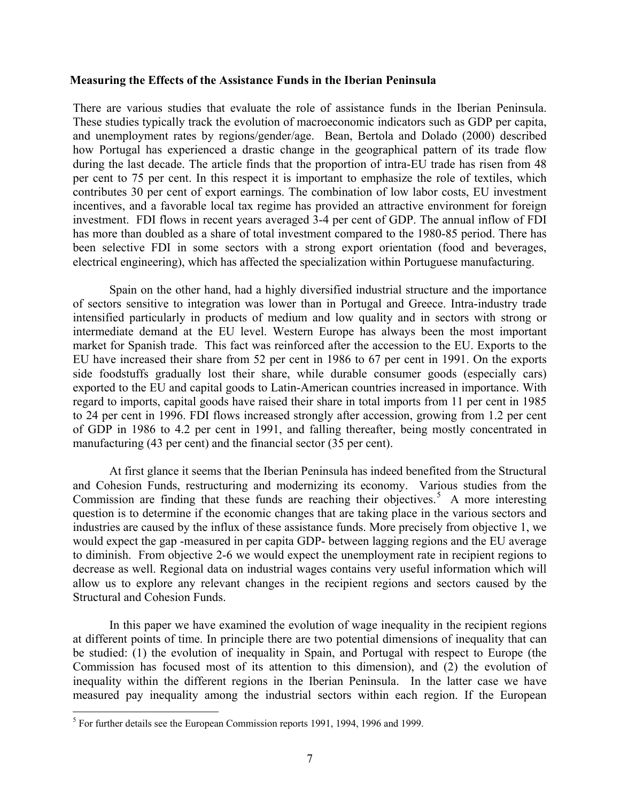#### **Measuring the Effects of the Assistance Funds in the Iberian Peninsula**

There are various studies that evaluate the role of assistance funds in the Iberian Peninsula. These studies typically track the evolution of macroeconomic indicators such as GDP per capita, and unemployment rates by regions/gender/age. Bean, Bertola and Dolado (2000) described how Portugal has experienced a drastic change in the geographical pattern of its trade flow during the last decade. The article finds that the proportion of intra-EU trade has risen from 48 per cent to 75 per cent. In this respect it is important to emphasize the role of textiles, which contributes 30 per cent of export earnings. The combination of low labor costs, EU investment incentives, and a favorable local tax regime has provided an attractive environment for foreign investment. FDI flows in recent years averaged 3-4 per cent of GDP. The annual inflow of FDI has more than doubled as a share of total investment compared to the 1980-85 period. There has been selective FDI in some sectors with a strong export orientation (food and beverages, electrical engineering), which has affected the specialization within Portuguese manufacturing.

Spain on the other hand, had a highly diversified industrial structure and the importance of sectors sensitive to integration was lower than in Portugal and Greece. Intra-industry trade intensified particularly in products of medium and low quality and in sectors with strong or intermediate demand at the EU level. Western Europe has always been the most important market for Spanish trade. This fact was reinforced after the accession to the EU. Exports to the EU have increased their share from 52 per cent in 1986 to 67 per cent in 1991. On the exports side foodstuffs gradually lost their share, while durable consumer goods (especially cars) exported to the EU and capital goods to Latin-American countries increased in importance. With regard to imports, capital goods have raised their share in total imports from 11 per cent in 1985 to 24 per cent in 1996. FDI flows increased strongly after accession, growing from 1.2 per cent of GDP in 1986 to 4.2 per cent in 1991, and falling thereafter, being mostly concentrated in manufacturing (43 per cent) and the financial sector (35 per cent).

At first glance it seems that the Iberian Peninsula has indeed benefited from the Structural and Cohesion Funds, restructuring and modernizing its economy. Various studies from the Commission are finding that these funds are reaching their objectives.<sup>5</sup> A more interesting question is to determine if the economic changes that are taking place in the various sectors and industries are caused by the influx of these assistance funds. More precisely from objective 1, we would expect the gap -measured in per capita GDP- between lagging regions and the EU average to diminish. From objective 2-6 we would expect the unemployment rate in recipient regions to decrease as well. Regional data on industrial wages contains very useful information which will allow us to explore any relevant changes in the recipient regions and sectors caused by the Structural and Cohesion Funds.

In this paper we have examined the evolution of wage inequality in the recipient regions at different points of time. In principle there are two potential dimensions of inequality that can be studied: (1) the evolution of inequality in Spain, and Portugal with respect to Europe (the Commission has focused most of its attention to this dimension), and (2) the evolution of inequality within the different regions in the Iberian Peninsula. In the latter case we have measured pay inequality among the industrial sectors within each region. If the European

 5 For further details see the European Commission reports 1991, 1994, 1996 and 1999.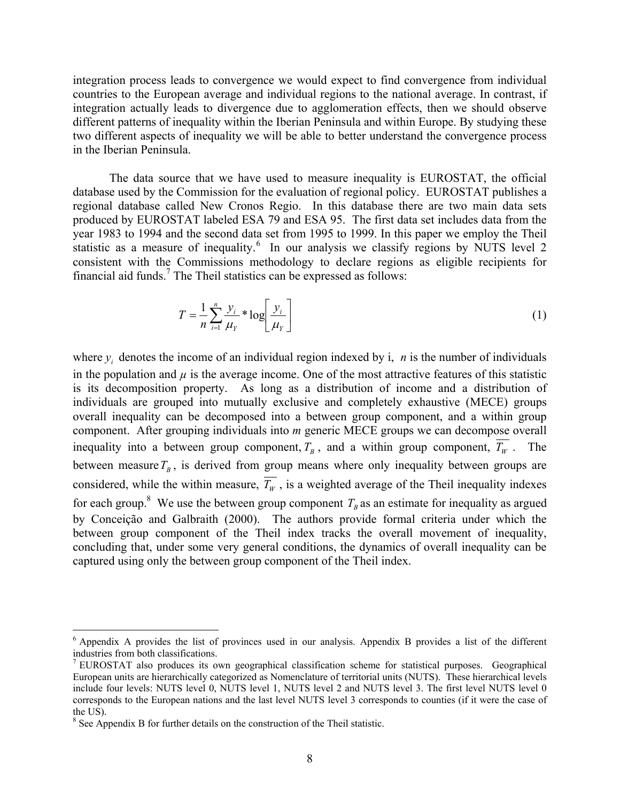integration process leads to convergence we would expect to find convergence from individual countries to the European average and individual regions to the national average. In contrast, if integration actually leads to divergence due to agglomeration effects, then we should observe different patterns of inequality within the Iberian Peninsula and within Europe. By studying these two different aspects of inequality we will be able to better understand the convergence process in the Iberian Peninsula.

The data source that we have used to measure inequality is EUROSTAT, the official database used by the Commission for the evaluation of regional policy. EUROSTAT publishes a regional database called New Cronos Regio. In this database there are two main data sets produced by EUROSTAT labeled ESA 79 and ESA 95. The first data set includes data from the year 1983 to 1994 and the second data set from 1995 to 1999. In this paper we employ the Theil statistic as a measure of inequality.<sup>6</sup> In our analysis we classify regions by NUTS level 2 consistent with the Commissions methodology to declare regions as eligible recipients for financial aid funds.<sup>7</sup> The Theil statistics can be expressed as follows:

$$
T = \frac{1}{n} \sum_{i=1}^{n} \frac{y_i}{\mu_Y} * \log \left[ \frac{y_i}{\mu_Y} \right]
$$
 (1)

where  $y_i$  denotes the income of an individual region indexed by i, *n* is the number of individuals in the population and  $\mu$  is the average income. One of the most attractive features of this statistic is its decomposition property. As long as a distribution of income and a distribution of individuals are grouped into mutually exclusive and completely exhaustive (MECE) groups overall inequality can be decomposed into a between group component, and a within group component. After grouping individuals into *m* generic MECE groups we can decompose overall inequality into a between group component,  $T_B$ , and a within group component,  $\overline{T_W}$ . The between measure  $T_B$ , is derived from group means where only inequality between groups are considered, while the within measure,  $\overline{T_w}$ , is a weighted average of the Theil inequality indexes for each group.<sup>8</sup> We use the between group component  $T<sub>B</sub>$  as an estimate for inequality as argued by Conceição and Galbraith (2000). The authors provide formal criteria under which the between group component of the Theil index tracks the overall movement of inequality, concluding that, under some very general conditions, the dynamics of overall inequality can be captured using only the between group component of the Theil index.

<sup>&</sup>lt;sup>6</sup> Appendix A provides the list of provinces used in our analysis. Appendix B provides a list of the different industries from both classifications.

<sup>&</sup>lt;sup>7</sup> EUROSTAT also produces its own geographical classification scheme for statistical purposes. Geographical European units are hierarchically categorized as Nomenclature of territorial units (NUTS). These hierarchical levels include four levels: NUTS level 0, NUTS level 1, NUTS level 2 and NUTS level 3. The first level NUTS level 0 corresponds to the European nations and the last level NUTS level 3 corresponds to counties (if it were the case of the US).

<sup>&</sup>lt;sup>8</sup> See Appendix B for further details on the construction of the Theil statistic.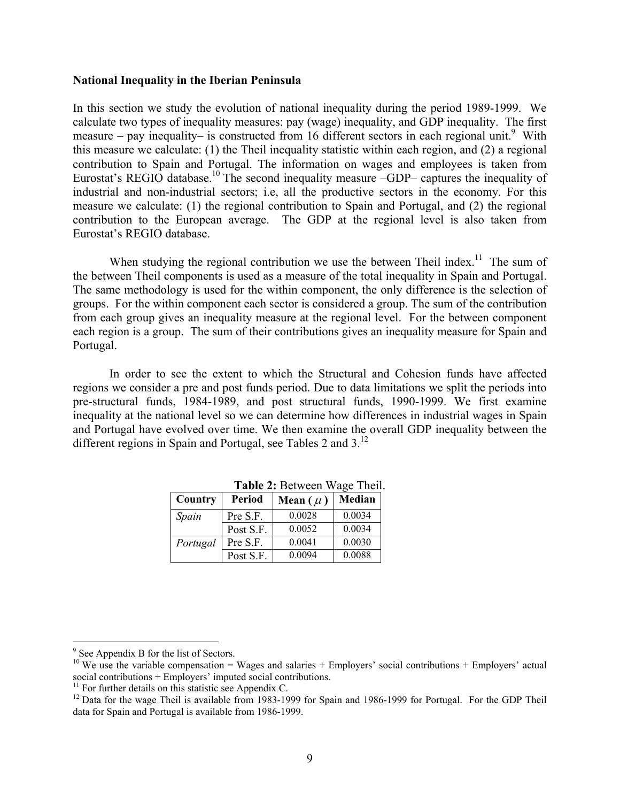#### **National Inequality in the Iberian Peninsula**

In this section we study the evolution of national inequality during the period 1989-1999. We calculate two types of inequality measures: pay (wage) inequality, and GDP inequality. The first measure – pay inequality– is constructed from 16 different sectors in each regional unit.<sup>9</sup> With this measure we calculate: (1) the Theil inequality statistic within each region, and (2) a regional contribution to Spain and Portugal. The information on wages and employees is taken from Eurostat's REGIO database.<sup>10</sup> The second inequality measure –GDP– captures the inequality of industrial and non-industrial sectors; i.e, all the productive sectors in the economy. For this measure we calculate: (1) the regional contribution to Spain and Portugal, and (2) the regional contribution to the European average. The GDP at the regional level is also taken from Eurostat's REGIO database.

When studying the regional contribution we use the between Theil index.<sup>11</sup> The sum of the between Theil components is used as a measure of the total inequality in Spain and Portugal. The same methodology is used for the within component, the only difference is the selection of groups. For the within component each sector is considered a group. The sum of the contribution from each group gives an inequality measure at the regional level. For the between component each region is a group. The sum of their contributions gives an inequality measure for Spain and Portugal.

In order to see the extent to which the Structural and Cohesion funds have affected regions we consider a pre and post funds period. Due to data limitations we split the periods into pre-structural funds, 1984-1989, and post structural funds, 1990-1999. We first examine inequality at the national level so we can determine how differences in industrial wages in Spain and Portugal have evolved over time. We then examine the overall GDP inequality between the different regions in Spain and Portugal, see Tables 2 and  $3<sup>12</sup>$ 

| <b>Each <math>\mu</math>.</b> Detween wage Them |               |              |        |  |  |  |  |  |
|-------------------------------------------------|---------------|--------------|--------|--|--|--|--|--|
| <b>Country</b>                                  | <b>Period</b> | Mean $(\mu)$ | Median |  |  |  |  |  |
| Spain                                           | Pre S.F.      | 0.0028       | 0.0034 |  |  |  |  |  |
|                                                 | Post S.F.     | 0.0052       | 0.0034 |  |  |  |  |  |
| Portugal                                        | Pre S.F.      | 0.0041       | 0.0030 |  |  |  |  |  |
|                                                 | Post S.F.     | 0.0094       | 0.0088 |  |  |  |  |  |

**Table 2:** Between Wage Theil.

<sup>&</sup>lt;sup>9</sup> See Appendix B for the list of Sectors.

<sup>&</sup>lt;sup>10</sup> We use the variable compensation = Wages and salaries + Employers' social contributions + Employers' actual social contributions + Employers' imputed social contributions.

 $11$  For further details on this statistic see Appendix C.

<sup>&</sup>lt;sup>12</sup> Data for the wage Theil is available from 1983-1999 for Spain and 1986-1999 for Portugal. For the GDP Theil data for Spain and Portugal is available from 1986-1999.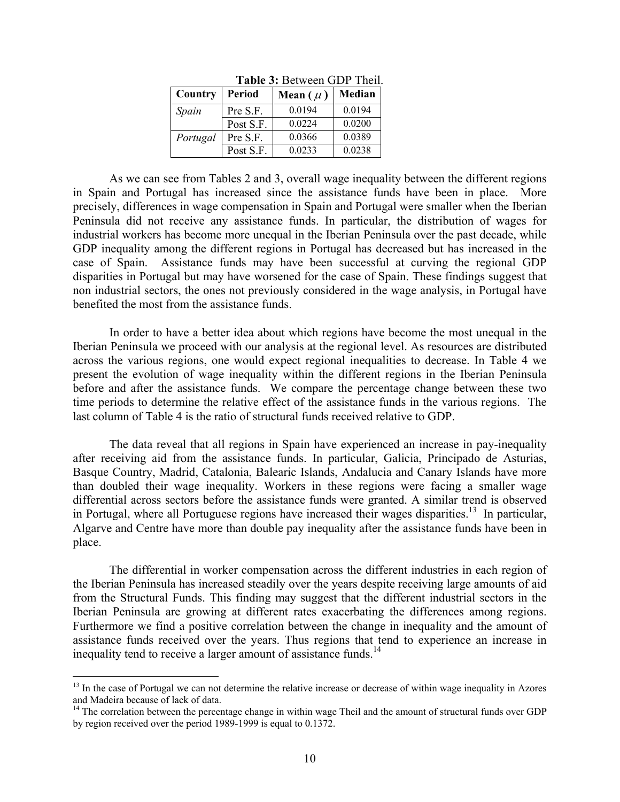| <b>TADIC 9. DUIWULI ULLET THUIL</b> |               |              |        |  |  |  |  |
|-------------------------------------|---------------|--------------|--------|--|--|--|--|
| Country                             | <b>Period</b> | Mean $(\mu)$ | Median |  |  |  |  |
| Spain                               | Pre S.F.      | 0.0194       | 0.0194 |  |  |  |  |
|                                     | Post S.F.     | 0.0224       | 0.0200 |  |  |  |  |
| Portugal                            | Pre S.F.      | 0.0366       | 0.0389 |  |  |  |  |
|                                     | Post S.F.     | 0.0233       | 0.0238 |  |  |  |  |

**Table 3:** Between GDP Theil.

As we can see from Tables 2 and 3, overall wage inequality between the different regions in Spain and Portugal has increased since the assistance funds have been in place. More precisely, differences in wage compensation in Spain and Portugal were smaller when the Iberian Peninsula did not receive any assistance funds. In particular, the distribution of wages for industrial workers has become more unequal in the Iberian Peninsula over the past decade, while GDP inequality among the different regions in Portugal has decreased but has increased in the case of Spain. Assistance funds may have been successful at curving the regional GDP disparities in Portugal but may have worsened for the case of Spain. These findings suggest that non industrial sectors, the ones not previously considered in the wage analysis, in Portugal have benefited the most from the assistance funds.

In order to have a better idea about which regions have become the most unequal in the Iberian Peninsula we proceed with our analysis at the regional level. As resources are distributed across the various regions, one would expect regional inequalities to decrease. In Table 4 we present the evolution of wage inequality within the different regions in the Iberian Peninsula before and after the assistance funds. We compare the percentage change between these two time periods to determine the relative effect of the assistance funds in the various regions. The last column of Table 4 is the ratio of structural funds received relative to GDP.

The data reveal that all regions in Spain have experienced an increase in pay-inequality after receiving aid from the assistance funds. In particular, Galicia, Principado de Asturias, Basque Country, Madrid, Catalonia, Balearic Islands, Andalucia and Canary Islands have more than doubled their wage inequality. Workers in these regions were facing a smaller wage differential across sectors before the assistance funds were granted. A similar trend is observed in Portugal, where all Portuguese regions have increased their wages disparities.<sup>13</sup> In particular, Algarve and Centre have more than double pay inequality after the assistance funds have been in place.

The differential in worker compensation across the different industries in each region of the Iberian Peninsula has increased steadily over the years despite receiving large amounts of aid from the Structural Funds. This finding may suggest that the different industrial sectors in the Iberian Peninsula are growing at different rates exacerbating the differences among regions. Furthermore we find a positive correlation between the change in inequality and the amount of assistance funds received over the years. Thus regions that tend to experience an increase in inequality tend to receive a larger amount of assistance funds.<sup>14</sup>

 $<sup>13</sup>$  In the case of Portugal we can not determine the relative increase or decrease of within wage inequality in Azores</sup> and Madeira because of lack of data.

 $14$  The correlation between the percentage change in within wage Theil and the amount of structural funds over GDP by region received over the period 1989-1999 is equal to 0.1372.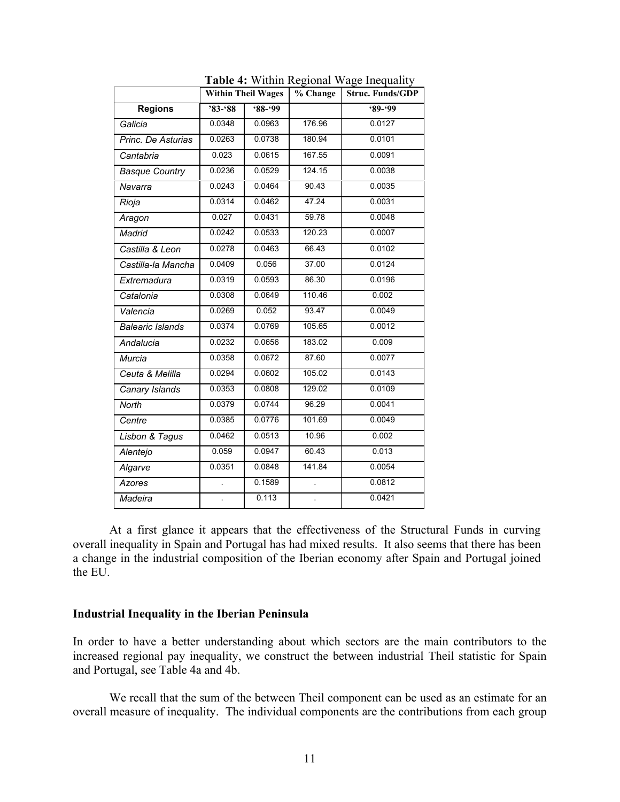|                         | <b>Within Theil Wages</b> |         | % Change | <b>Struc. Funds/GDP</b> |
|-------------------------|---------------------------|---------|----------|-------------------------|
| <b>Regions</b>          | $83 - 88$                 | $88-99$ |          | $9 - 99$                |
| Galicia                 | 0.0348                    | 0.0963  | 176.96   | 0.0127                  |
| Princ. De Asturias      | 0.0263                    | 0.0738  | 180.94   | 0.0101                  |
| Cantabria               | 0.023                     | 0.0615  | 167.55   | 0.0091                  |
| <b>Basque Country</b>   | 0.0236                    | 0.0529  | 124.15   | 0.0038                  |
| Navarra                 | 0.0243                    | 0.0464  | 90.43    | 0.0035                  |
| Rioja                   | 0.0314                    | 0.0462  | 47.24    | 0.0031                  |
| Aragon                  | 0.027                     | 0.0431  | 59.78    | 0.0048                  |
| Madrid                  | 0.0242                    | 0.0533  | 120.23   | 0.0007                  |
| Castilla & Leon         | 0.0278                    | 0.0463  | 66.43    | 0.0102                  |
| Castilla-la Mancha      | 0.0409                    | 0.056   | 37.00    | 0.0124                  |
| Extremadura             | 0.0319                    | 0.0593  | 86.30    | 0.0196                  |
| Catalonia               | 0.0308                    | 0.0649  | 110.46   | 0.002                   |
| Valencia                | 0.0269                    | 0.052   | 93.47    | 0.0049                  |
| <b>Balearic Islands</b> | 0.0374                    | 0.0769  | 105.65   | 0.0012                  |
| Andalucia               | 0.0232                    | 0.0656  | 183.02   | 0.009                   |
| Murcia                  | 0.0358                    | 0.0672  | 87.60    | 0.0077                  |
| Ceuta & Melilla         | 0.0294                    | 0.0602  | 105.02   | 0.0143                  |
| Canary Islands          | 0.0353                    | 0.0808  | 129.02   | 0.0109                  |
| North                   | 0.0379                    | 0.0744  | 96.29    | 0.0041                  |
| Centre                  | 0.0385                    | 0.0776  | 101.69   | 0.0049                  |
| Lisbon & Tagus          | 0.0462                    | 0.0513  | 10.96    | 0.002                   |
| Alentejo                | 0.059                     | 0.0947  | 60.43    | 0.013                   |
| Algarve                 | 0.0351                    | 0.0848  | 141.84   | 0.0054                  |
| Azores                  |                           | 0.1589  |          | 0.0812                  |
| Madeira                 |                           | 0.113   |          | 0.0421                  |

**Table 4:** Within Regional Wage Inequality

At a first glance it appears that the effectiveness of the Structural Funds in curving overall inequality in Spain and Portugal has had mixed results. It also seems that there has been a change in the industrial composition of the Iberian economy after Spain and Portugal joined the EU.

### **Industrial Inequality in the Iberian Peninsula**

In order to have a better understanding about which sectors are the main contributors to the increased regional pay inequality, we construct the between industrial Theil statistic for Spain and Portugal, see Table 4a and 4b.

We recall that the sum of the between Theil component can be used as an estimate for an overall measure of inequality. The individual components are the contributions from each group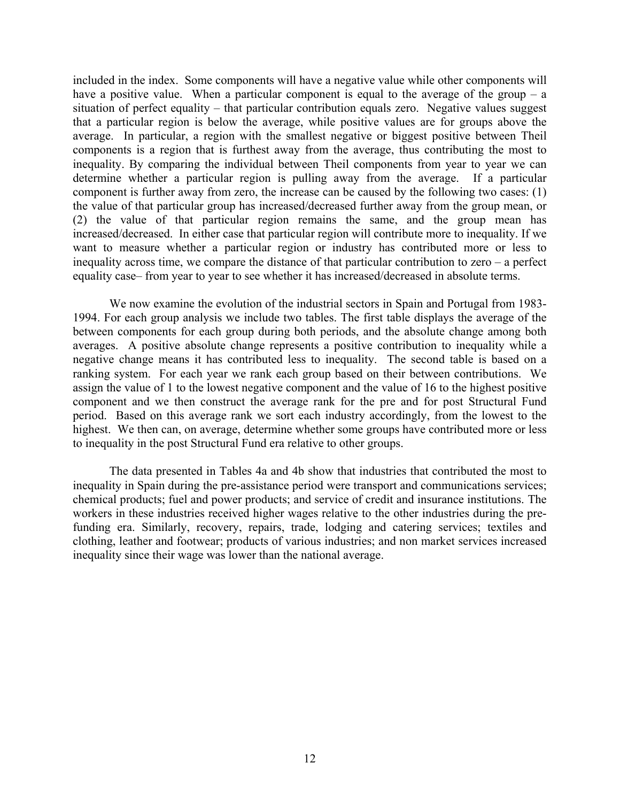included in the index. Some components will have a negative value while other components will have a positive value. When a particular component is equal to the average of the group – a situation of perfect equality – that particular contribution equals zero. Negative values suggest that a particular region is below the average, while positive values are for groups above the average. In particular, a region with the smallest negative or biggest positive between Theil components is a region that is furthest away from the average, thus contributing the most to inequality. By comparing the individual between Theil components from year to year we can determine whether a particular region is pulling away from the average. If a particular component is further away from zero, the increase can be caused by the following two cases: (1) the value of that particular group has increased/decreased further away from the group mean, or (2) the value of that particular region remains the same, and the group mean has increased/decreased. In either case that particular region will contribute more to inequality. If we want to measure whether a particular region or industry has contributed more or less to inequality across time, we compare the distance of that particular contribution to zero – a perfect equality case– from year to year to see whether it has increased/decreased in absolute terms.

We now examine the evolution of the industrial sectors in Spain and Portugal from 1983- 1994. For each group analysis we include two tables. The first table displays the average of the between components for each group during both periods, and the absolute change among both averages. A positive absolute change represents a positive contribution to inequality while a negative change means it has contributed less to inequality. The second table is based on a ranking system. For each year we rank each group based on their between contributions. We assign the value of 1 to the lowest negative component and the value of 16 to the highest positive component and we then construct the average rank for the pre and for post Structural Fund period. Based on this average rank we sort each industry accordingly, from the lowest to the highest. We then can, on average, determine whether some groups have contributed more or less to inequality in the post Structural Fund era relative to other groups.

The data presented in Tables 4a and 4b show that industries that contributed the most to inequality in Spain during the pre-assistance period were transport and communications services; chemical products; fuel and power products; and service of credit and insurance institutions. The workers in these industries received higher wages relative to the other industries during the prefunding era. Similarly, recovery, repairs, trade, lodging and catering services; textiles and clothing, leather and footwear; products of various industries; and non market services increased inequality since their wage was lower than the national average.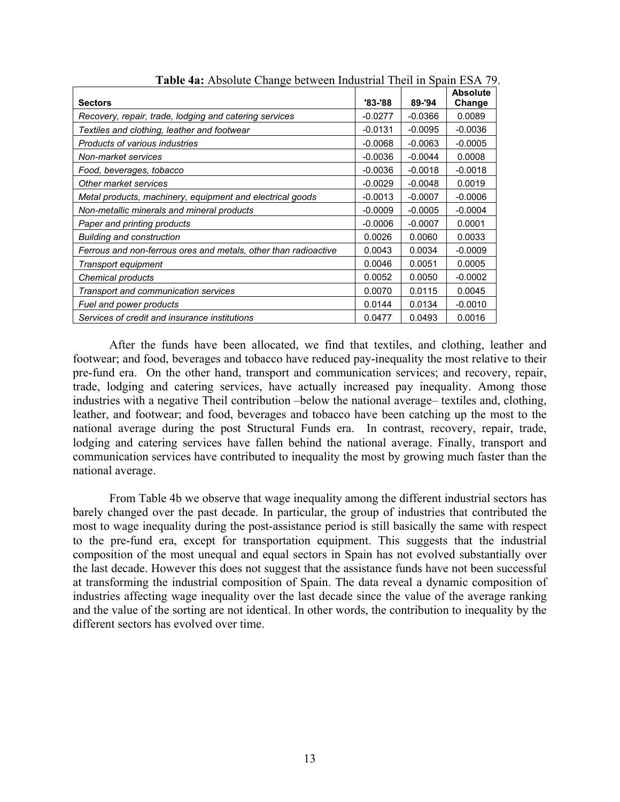|                                                                 |           |           | <b>Absolute</b> |
|-----------------------------------------------------------------|-----------|-----------|-----------------|
| <b>Sectors</b>                                                  | '83-'88   | 89-'94    | Change          |
| Recovery, repair, trade, lodging and catering services          | $-0.0277$ | $-0.0366$ | 0.0089          |
| Textiles and clothing, leather and footwear                     | $-0.0131$ | $-0.0095$ | $-0.0036$       |
| Products of various industries                                  | $-0.0068$ | $-0.0063$ | $-0.0005$       |
| Non-market services                                             | $-0.0036$ | $-0.0044$ | 0.0008          |
| Food, beverages, tobacco                                        | $-0.0036$ | $-0.0018$ | $-0.0018$       |
| Other market services                                           | $-0.0029$ | $-0.0048$ | 0.0019          |
| Metal products, machinery, equipment and electrical goods       | $-0.0013$ | $-0.0007$ | $-0.0006$       |
| Non-metallic minerals and mineral products                      | $-0.0009$ | $-0.0005$ | $-0.0004$       |
| Paper and printing products                                     | $-0.0006$ | $-0.0007$ | 0.0001          |
| <b>Building and construction</b>                                | 0.0026    | 0.0060    | 0.0033          |
| Ferrous and non-ferrous ores and metals, other than radioactive | 0.0043    | 0.0034    | $-0.0009$       |
| Transport equipment                                             | 0.0046    | 0.0051    | 0.0005          |
| Chemical products                                               | 0.0052    | 0.0050    | $-0.0002$       |
| Transport and communication services                            | 0.0070    | 0.0115    | 0.0045          |
| Fuel and power products                                         | 0.0144    | 0.0134    | $-0.0010$       |
| Services of credit and insurance institutions                   | 0.0477    | 0.0493    | 0.0016          |

**Table 4a:** Absolute Change between Industrial Theil in Spain ESA 79.

After the funds have been allocated, we find that textiles, and clothing, leather and footwear; and food, beverages and tobacco have reduced pay-inequality the most relative to their pre-fund era. On the other hand, transport and communication services; and recovery, repair, trade, lodging and catering services, have actually increased pay inequality. Among those industries with a negative Theil contribution –below the national average– textiles and, clothing, leather, and footwear; and food, beverages and tobacco have been catching up the most to the national average during the post Structural Funds era. In contrast, recovery, repair, trade, lodging and catering services have fallen behind the national average. Finally, transport and communication services have contributed to inequality the most by growing much faster than the national average.

From Table 4b we observe that wage inequality among the different industrial sectors has barely changed over the past decade. In particular, the group of industries that contributed the most to wage inequality during the post-assistance period is still basically the same with respect to the pre-fund era, except for transportation equipment. This suggests that the industrial composition of the most unequal and equal sectors in Spain has not evolved substantially over the last decade. However this does not suggest that the assistance funds have not been successful at transforming the industrial composition of Spain. The data reveal a dynamic composition of industries affecting wage inequality over the last decade since the value of the average ranking and the value of the sorting are not identical. In other words, the contribution to inequality by the different sectors has evolved over time.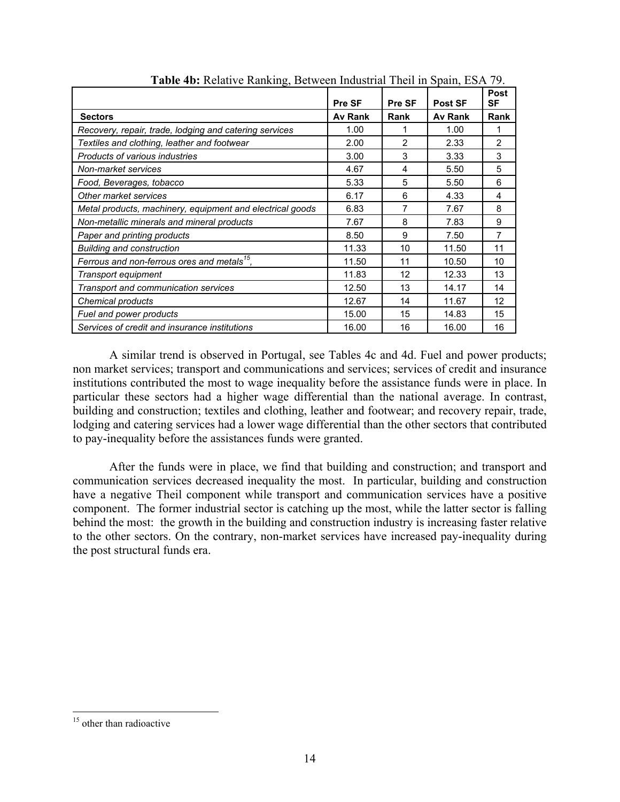|                                                           | Pre SF  | Pre SF         | <b>Post SF</b> | Post<br><b>SF</b> |
|-----------------------------------------------------------|---------|----------------|----------------|-------------------|
| <b>Sectors</b>                                            | Av Rank | Rank           | <b>Av Rank</b> | Rank              |
| Recovery, repair, trade, lodging and catering services    | 1.00    | 1              | 1.00           | 1                 |
| Textiles and clothing, leather and footwear               | 2.00    | $\overline{2}$ | 2.33           | $\overline{2}$    |
| Products of various industries                            | 3.00    | 3              | 3.33           | 3                 |
| Non-market services                                       | 4.67    | 4              | 5.50           | 5                 |
| Food, Beverages, tobacco                                  | 5.33    | 5              | 5.50           | 6                 |
| Other market services                                     | 6.17    | 6              | 4.33           | 4                 |
| Metal products, machinery, equipment and electrical goods | 6.83    | 7              | 7.67           | 8                 |
| Non-metallic minerals and mineral products                | 7.67    | 8              | 7.83           | 9                 |
| Paper and printing products                               | 8.50    | 9              | 7.50           | 7                 |
| <b>Building and construction</b>                          | 11.33   | 10             | 11.50          | 11                |
| Ferrous and non-ferrous ores and metals <sup>15</sup> ,   | 11.50   | 11             | 10.50          | 10                |
| Transport equipment                                       | 11.83   | 12             | 12.33          | 13                |
| Transport and communication services                      | 12.50   | 13             | 14.17          | 14                |
| Chemical products                                         | 12.67   | 14             | 11.67          | 12                |
| Fuel and power products                                   | 15.00   | 15             | 14.83          | 15                |
| Services of credit and insurance institutions             | 16.00   | 16             | 16.00          | 16                |

**Table 4b:** Relative Ranking, Between Industrial Theil in Spain, ESA 79.

A similar trend is observed in Portugal, see Tables 4c and 4d. Fuel and power products; non market services; transport and communications and services; services of credit and insurance institutions contributed the most to wage inequality before the assistance funds were in place. In particular these sectors had a higher wage differential than the national average. In contrast, building and construction; textiles and clothing, leather and footwear; and recovery repair, trade, lodging and catering services had a lower wage differential than the other sectors that contributed to pay-inequality before the assistances funds were granted.

After the funds were in place, we find that building and construction; and transport and communication services decreased inequality the most. In particular, building and construction have a negative Theil component while transport and communication services have a positive component. The former industrial sector is catching up the most, while the latter sector is falling behind the most: the growth in the building and construction industry is increasing faster relative to the other sectors. On the contrary, non-market services have increased pay-inequality during the post structural funds era.

<sup>&</sup>lt;sup>15</sup> other than radioactive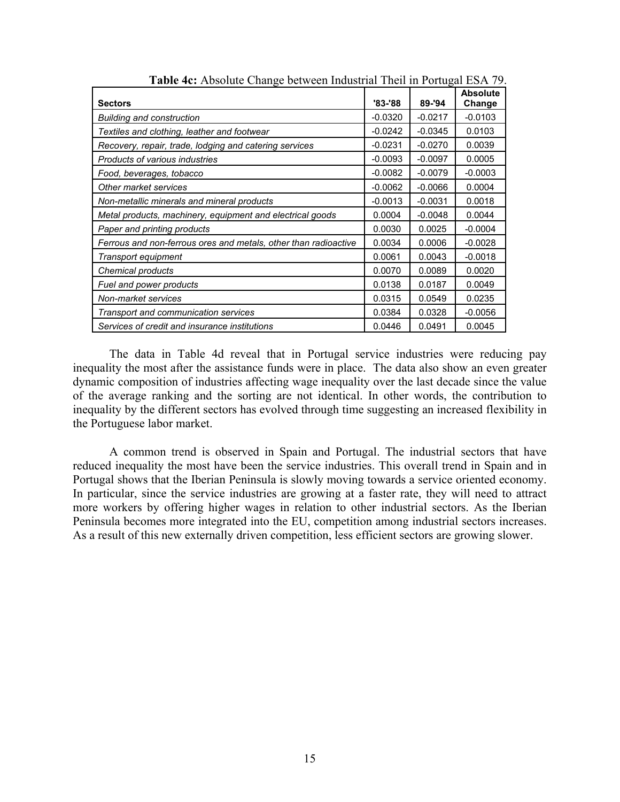|                                                                 |             |           | <b>Absolute</b> |
|-----------------------------------------------------------------|-------------|-----------|-----------------|
| <b>Sectors</b>                                                  | $'83 - '88$ | 89-'94    | Change          |
| <b>Building and construction</b>                                | $-0.0320$   | $-0.0217$ | $-0.0103$       |
| Textiles and clothing, leather and footwear                     | $-0.0242$   | $-0.0345$ | 0.0103          |
| Recovery, repair, trade, lodging and catering services          | $-0.0231$   | $-0.0270$ | 0.0039          |
| Products of various industries                                  | $-0.0093$   | $-0.0097$ | 0.0005          |
| Food, beverages, tobacco                                        | $-0.0082$   | $-0.0079$ | $-0.0003$       |
| Other market services                                           | $-0.0062$   | $-0.0066$ | 0.0004          |
| Non-metallic minerals and mineral products                      | $-0.0013$   | $-0.0031$ | 0.0018          |
| Metal products, machinery, equipment and electrical goods       | 0.0004      | $-0.0048$ | 0.0044          |
| Paper and printing products                                     | 0.0030      | 0.0025    | $-0.0004$       |
| Ferrous and non-ferrous ores and metals, other than radioactive | 0.0034      | 0.0006    | $-0.0028$       |
| Transport equipment                                             | 0.0061      | 0.0043    | $-0.0018$       |
| Chemical products                                               | 0.0070      | 0.0089    | 0.0020          |
| Fuel and power products                                         | 0.0138      | 0.0187    | 0.0049          |
| Non-market services                                             | 0.0315      | 0.0549    | 0.0235          |
| Transport and communication services                            | 0.0384      | 0.0328    | $-0.0056$       |
| Services of credit and insurance institutions                   | 0.0446      | 0.0491    | 0.0045          |

**Table 4c:** Absolute Change between Industrial Theil in Portugal ESA 79.

The data in Table 4d reveal that in Portugal service industries were reducing pay inequality the most after the assistance funds were in place. The data also show an even greater dynamic composition of industries affecting wage inequality over the last decade since the value of the average ranking and the sorting are not identical. In other words, the contribution to inequality by the different sectors has evolved through time suggesting an increased flexibility in the Portuguese labor market.

A common trend is observed in Spain and Portugal. The industrial sectors that have reduced inequality the most have been the service industries. This overall trend in Spain and in Portugal shows that the Iberian Peninsula is slowly moving towards a service oriented economy. In particular, since the service industries are growing at a faster rate, they will need to attract more workers by offering higher wages in relation to other industrial sectors. As the Iberian Peninsula becomes more integrated into the EU, competition among industrial sectors increases. As a result of this new externally driven competition, less efficient sectors are growing slower.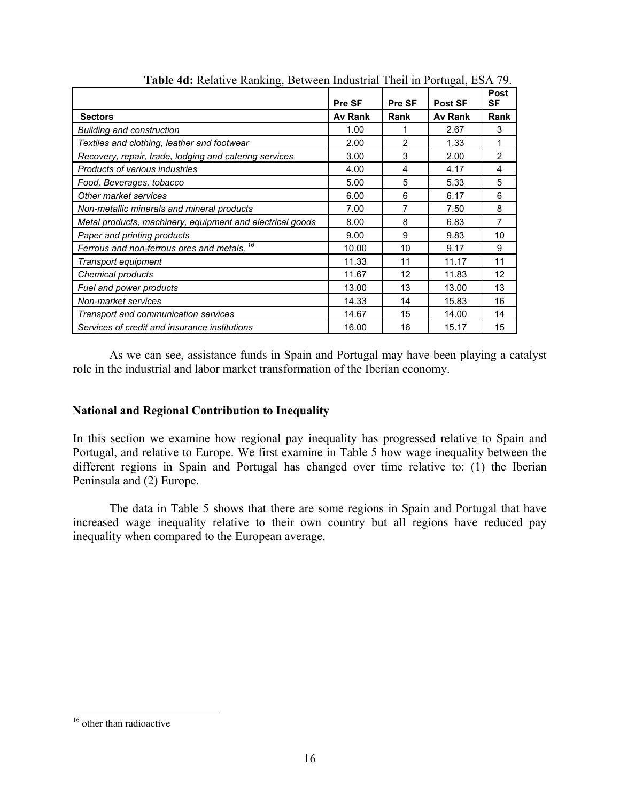|                                                           | Pre SF  | Pre SF         | <b>Post SF</b> | Post<br>SF     |
|-----------------------------------------------------------|---------|----------------|----------------|----------------|
| <b>Sectors</b>                                            | Av Rank | Rank           | Av Rank        | Rank           |
| <b>Building and construction</b>                          | 1.00    | 1              | 2.67           | 3              |
| Textiles and clothing, leather and footwear               | 2.00    | $\overline{2}$ | 1.33           | 1              |
| Recovery, repair, trade, lodging and catering services    | 3.00    | 3              | 2.00           | $\overline{2}$ |
| Products of various industries                            | 4.00    | 4              | 4.17           | 4              |
| Food, Beverages, tobacco                                  | 5.00    | 5              | 5.33           | 5              |
| Other market services                                     | 6.00    | 6              | 6.17           | 6              |
| Non-metallic minerals and mineral products                | 7.00    | 7              | 7.50           | 8              |
| Metal products, machinery, equipment and electrical goods | 8.00    | 8              | 6.83           | 7              |
| Paper and printing products                               | 9.00    | 9              | 9.83           | 10             |
| Ferrous and non-ferrous ores and metals, 16               | 10.00   | 10             | 9.17           | 9              |
| Transport equipment                                       | 11.33   | 11             | 11.17          | 11             |
| Chemical products                                         | 11.67   | 12             | 11.83          | 12             |
| Fuel and power products                                   | 13.00   | 13             | 13.00          | 13             |
| Non-market services                                       | 14.33   | 14             | 15.83          | 16             |
| Transport and communication services                      | 14.67   | 15             | 14.00          | 14             |
| Services of credit and insurance institutions             | 16.00   | 16             | 15.17          | 15             |

**Table 4d:** Relative Ranking, Between Industrial Theil in Portugal, ESA 79.

As we can see, assistance funds in Spain and Portugal may have been playing a catalyst role in the industrial and labor market transformation of the Iberian economy.

### **National and Regional Contribution to Inequality**

In this section we examine how regional pay inequality has progressed relative to Spain and Portugal, and relative to Europe. We first examine in Table 5 how wage inequality between the different regions in Spain and Portugal has changed over time relative to: (1) the Iberian Peninsula and (2) Europe.

The data in Table 5 shows that there are some regions in Spain and Portugal that have increased wage inequality relative to their own country but all regions have reduced pay inequality when compared to the European average.

<sup>&</sup>lt;sup>16</sup> other than radioactive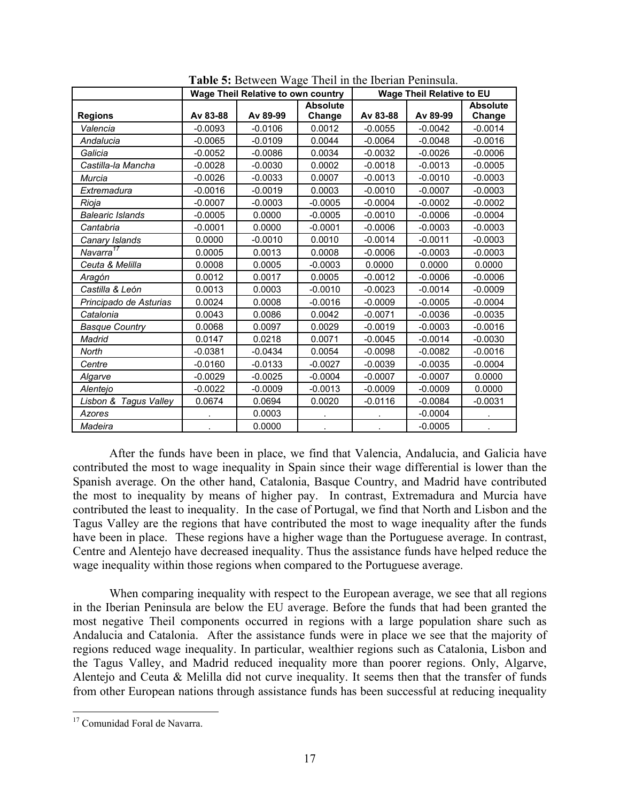|                         | Wage Theil Relative to own country |           |           | <b>Wage Theil Relative to EU</b> |           |                 |  |
|-------------------------|------------------------------------|-----------|-----------|----------------------------------|-----------|-----------------|--|
|                         |                                    |           | Absolute  |                                  |           | <b>Absolute</b> |  |
| <b>Regions</b>          | Av 83-88                           | Av 89-99  | Change    | Av 83-88                         | Av 89-99  | Change          |  |
| Valencia                | $-0.0093$                          | $-0.0106$ | 0.0012    | $-0.0055$                        | $-0.0042$ | $-0.0014$       |  |
| Andalucia               | $-0.0065$                          | $-0.0109$ | 0.0044    | $-0.0064$                        | $-0.0048$ | $-0.0016$       |  |
| Galicia                 | $-0.0052$                          | $-0.0086$ | 0.0034    | $-0.0032$                        | $-0.0026$ | $-0.0006$       |  |
| Castilla-la Mancha      | $-0.0028$                          | $-0.0030$ | 0.0002    | $-0.0018$                        | $-0.0013$ | $-0.0005$       |  |
| Murcia                  | $-0.0026$                          | $-0.0033$ | 0.0007    | $-0.0013$                        | $-0.0010$ | $-0.0003$       |  |
| Extremadura             | $-0.0016$                          | $-0.0019$ | 0.0003    | $-0.0010$                        | $-0.0007$ | $-0.0003$       |  |
| Rioja                   | $-0.0007$                          | $-0.0003$ | $-0.0005$ | $-0.0004$                        | $-0.0002$ | $-0.0002$       |  |
| <b>Balearic Islands</b> | $-0.0005$                          | 0.0000    | $-0.0005$ | $-0.0010$                        | $-0.0006$ | $-0.0004$       |  |
| Cantabria               | $-0.0001$                          | 0.0000    | $-0.0001$ | $-0.0006$                        | $-0.0003$ | $-0.0003$       |  |
| Canary Islands          | 0.0000                             | $-0.0010$ | 0.0010    | $-0.0014$                        | $-0.0011$ | $-0.0003$       |  |
| Navarra <sup>17</sup>   | 0.0005                             | 0.0013    | 0.0008    | $-0.0006$                        | $-0.0003$ | $-0.0003$       |  |
| Ceuta & Melilla         | 0.0008                             | 0.0005    | $-0.0003$ | 0.0000                           | 0.0000    | 0.0000          |  |
| Aragón                  | 0.0012                             | 0.0017    | 0.0005    | $-0.0012$                        | $-0.0006$ | $-0.0006$       |  |
| Castilla & León         | 0.0013                             | 0.0003    | $-0.0010$ | $-0.0023$                        | $-0.0014$ | $-0.0009$       |  |
| Principado de Asturias  | 0.0024                             | 0.0008    | $-0.0016$ | $-0.0009$                        | $-0.0005$ | $-0.0004$       |  |
| Catalonia               | 0.0043                             | 0.0086    | 0.0042    | $-0.0071$                        | $-0.0036$ | $-0.0035$       |  |
| <b>Basque Country</b>   | 0.0068                             | 0.0097    | 0.0029    | $-0.0019$                        | $-0.0003$ | $-0.0016$       |  |
| Madrid                  | 0.0147                             | 0.0218    | 0.0071    | $-0.0045$                        | $-0.0014$ | $-0.0030$       |  |
| North                   | $-0.0381$                          | $-0.0434$ | 0.0054    | $-0.0098$                        | $-0.0082$ | $-0.0016$       |  |
| Centre                  | $-0.0160$                          | $-0.0133$ | $-0.0027$ | $-0.0039$                        | $-0.0035$ | $-0.0004$       |  |
| Algarve                 | $-0.0029$                          | $-0.0025$ | $-0.0004$ | $-0.0007$                        | $-0.0007$ | 0.0000          |  |
| Alentejo                | $-0.0022$                          | $-0.0009$ | $-0.0013$ | $-0.0009$                        | $-0.0009$ | 0.0000          |  |
| Lisbon & Tagus Valley   | 0.0674                             | 0.0694    | 0.0020    | $-0.0116$                        | $-0.0084$ | $-0.0031$       |  |
| Azores                  |                                    | 0.0003    |           |                                  | $-0.0004$ |                 |  |
| Madeira                 |                                    | 0.0000    |           |                                  | $-0.0005$ |                 |  |

**Table 5:** Between Wage Theil in the Iberian Peninsula.

After the funds have been in place, we find that Valencia, Andalucia, and Galicia have contributed the most to wage inequality in Spain since their wage differential is lower than the Spanish average. On the other hand, Catalonia, Basque Country, and Madrid have contributed the most to inequality by means of higher pay. In contrast, Extremadura and Murcia have contributed the least to inequality.In the case of Portugal, we find that North and Lisbon and the Tagus Valley are the regions that have contributed the most to wage inequality after the funds have been in place.These regions have a higher wage than the Portuguese average. In contrast, Centre and Alentejo have decreased inequality. Thus the assistance funds have helped reduce the wage inequality within those regions when compared to the Portuguese average.

When comparing inequality with respect to the European average, we see that all regions in the Iberian Peninsula are below the EU average. Before the funds that had been granted the most negative Theil components occurred in regions with a large population share such as Andalucia and Catalonia.After the assistance funds were in place we see that the majority of regions reduced wage inequality. In particular, wealthier regions such as Catalonia, Lisbon and the Tagus Valley, and Madrid reduced inequality more than poorer regions. Only, Algarve, Alentejo and Ceuta & Melilla did not curve inequality. It seems then that the transfer of funds from other European nations through assistance funds has been successful at reducing inequality

<u>.</u>

<sup>&</sup>lt;sup>17</sup> Comunidad Foral de Navarra.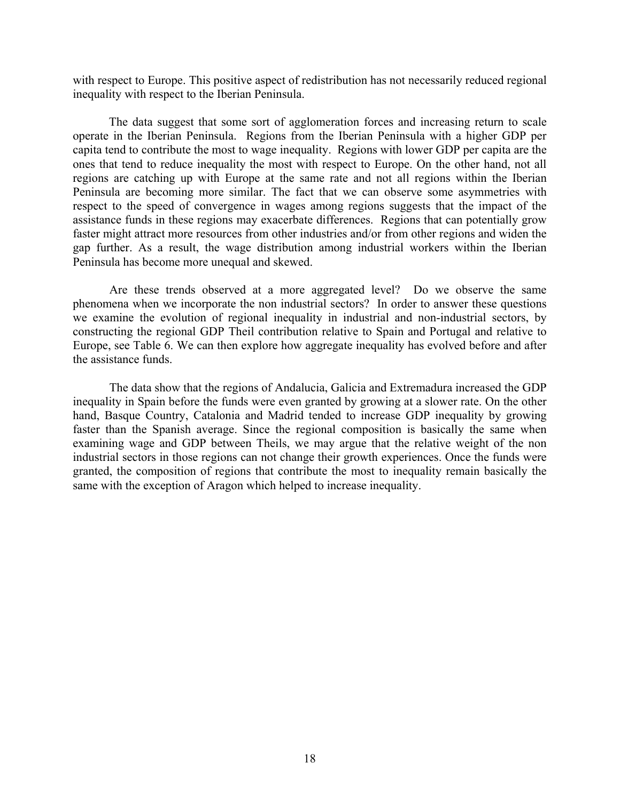with respect to Europe. This positive aspect of redistribution has not necessarily reduced regional inequality with respect to the Iberian Peninsula.

The data suggest that some sort of agglomeration forces and increasing return to scale operate in the Iberian Peninsula. Regions from the Iberian Peninsula with a higher GDP per capita tend to contribute the most to wage inequality. Regions with lower GDP per capita are the ones that tend to reduce inequality the most with respect to Europe. On the other hand, not all regions are catching up with Europe at the same rate and not all regions within the Iberian Peninsula are becoming more similar. The fact that we can observe some asymmetries with respect to the speed of convergence in wages among regions suggests that the impact of the assistance funds in these regions may exacerbate differences. Regions that can potentially grow faster might attract more resources from other industries and/or from other regions and widen the gap further. As a result, the wage distribution among industrial workers within the Iberian Peninsula has become more unequal and skewed.

Are these trends observed at a more aggregated level? Do we observe the same phenomena when we incorporate the non industrial sectors? In order to answer these questions we examine the evolution of regional inequality in industrial and non-industrial sectors, by constructing the regional GDP Theil contribution relative to Spain and Portugal and relative to Europe, see Table 6. We can then explore how aggregate inequality has evolved before and after the assistance funds.

The data show that the regions of Andalucia, Galicia and Extremadura increased the GDP inequality in Spain before the funds were even granted by growing at a slower rate. On the other hand, Basque Country, Catalonia and Madrid tended to increase GDP inequality by growing faster than the Spanish average. Since the regional composition is basically the same when examining wage and GDP between Theils, we may argue that the relative weight of the non industrial sectors in those regions can not change their growth experiences. Once the funds were granted, the composition of regions that contribute the most to inequality remain basically the same with the exception of Aragon which helped to increase inequality.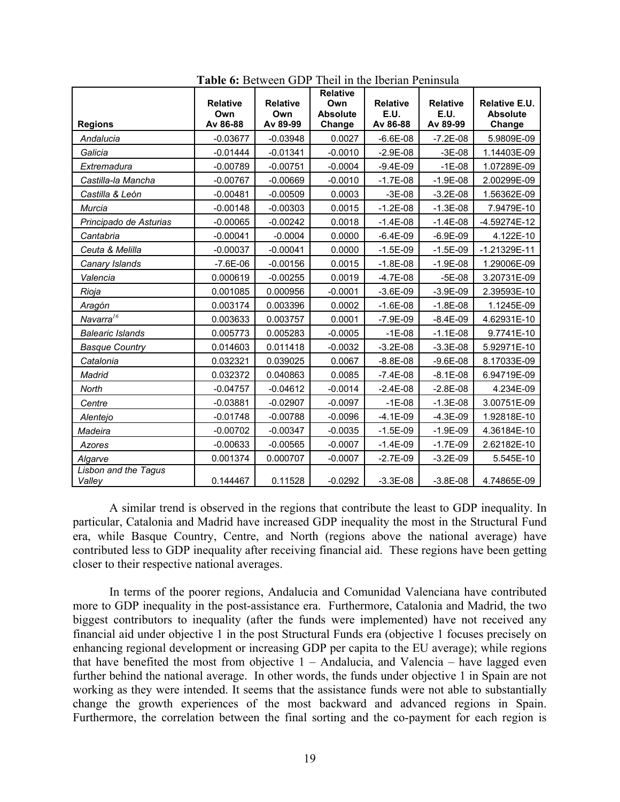| <b>Regions</b>                 | <b>Relative</b><br>Own<br>Av 86-88 | <b>Relative</b><br>Own<br>Av 89-99 | Relative<br>Own<br><b>Absolute</b><br>Change | <b>Relative</b><br>E.U.<br>Av 86-88 | <b>Relative</b><br>E.U.<br>Av 89-99 | Relative E.U.<br><b>Absolute</b><br>Change |
|--------------------------------|------------------------------------|------------------------------------|----------------------------------------------|-------------------------------------|-------------------------------------|--------------------------------------------|
| Andalucia                      | $-0.03677$                         | $-0.03948$                         | 0.0027                                       | $-6.6E-08$                          | $-7.2E-08$                          | 5.9809E-09                                 |
| Galicia                        | $-0.01444$                         | $-0.01341$                         | $-0.0010$                                    | $-2.9E-08$                          | $-3E-08$                            | 1.14403E-09                                |
| Extremadura                    | $-0.00789$                         | $-0.00751$                         | $-0.0004$                                    | $-9.4E-09$                          | $-1E-08$                            | 1.07289E-09                                |
| Castilla-la Mancha             | $-0.00767$                         | $-0.00669$                         | $-0.0010$                                    | $-1.7E-08$                          | $-1.9E-08$                          | 2.00299E-09                                |
| Castilla & León                | $-0.00481$                         | $-0.00509$                         | 0.0003                                       | $-3E-08$                            | $-3.2E-08$                          | 1.56362E-09                                |
| Murcia                         | $-0.00148$                         | $-0.00303$                         | 0.0015                                       | $-1.2E-08$                          | $-1.3E-08$                          | 7.9479E-10                                 |
| Principado de Asturias         | $-0.00065$                         | $-0.00242$                         | 0.0018                                       | $-1.4E-08$                          | $-1.4E-08$                          | -4.59274E-12                               |
| Cantabria                      | $-0.00041$                         | $-0.0004$                          | 0.0000                                       | $-6.4E-09$                          | $-6.9E-09$                          | 4.122E-10                                  |
| Ceuta & Melilla                | $-0.00037$                         | $-0.00041$                         | 0.0000                                       | $-1.5E-09$                          | $-1.5E-09$                          | $-1.21329E-11$                             |
| Canary Islands                 | $-7.6E-06$                         | $-0.00156$                         | 0.0015                                       | $-1.8E-08$                          | $-1.9E-08$                          | 1.29006E-09                                |
| Valencia                       | 0.000619                           | $-0.00255$                         | 0.0019                                       | $-4.7E-08$                          | $-5E-08$                            | 3.20731E-09                                |
| Rioja                          | 0.001085                           | 0.000956                           | $-0.0001$                                    | $-3.6E-09$                          | $-3.9E-09$                          | 2.39593E-10                                |
| Aragón                         | 0.003174                           | 0.003396                           | 0.0002                                       | $-1.6E-08$                          | $-1.8E-08$                          | 1.1245E-09                                 |
| Navarra <sup>16</sup>          | 0.003633                           | 0.003757                           | 0.0001                                       | $-7.9E-09$                          | $-8.4E-09$                          | 4.62931E-10                                |
| <b>Balearic Islands</b>        | 0.005773                           | 0.005283                           | $-0.0005$                                    | $-1E-08$                            | $-1.1E-08$                          | 9.7741E-10                                 |
| <b>Basque Country</b>          | 0.014603                           | 0.011418                           | $-0.0032$                                    | $-3.2E-08$                          | $-3.3E-08$                          | 5.92971E-10                                |
| Catalonia                      | 0.032321                           | 0.039025                           | 0.0067                                       | $-8.8E - 08$                        | $-9.6E - 08$                        | 8.17033E-09                                |
| Madrid                         | 0.032372                           | 0.040863                           | 0.0085                                       | $-7.4E-08$                          | $-8.1E-08$                          | 6.94719E-09                                |
| North                          | $-0.04757$                         | $-0.04612$                         | $-0.0014$                                    | $-2.4E-08$                          | $-2.8E-08$                          | 4.234E-09                                  |
| Centre                         | $-0.03881$                         | $-0.02907$                         | $-0.0097$                                    | $-1E-08$                            | $-1.3E-08$                          | 3.00751E-09                                |
| Alentejo                       | $-0.01748$                         | $-0.00788$                         | $-0.0096$                                    | $-4.1E-09$                          | $-4.3E-09$                          | 1.92818E-10                                |
| Madeira                        | $-0.00702$                         | $-0.00347$                         | $-0.0035$                                    | $-1.5E-09$                          | $-1.9E-09$                          | 4.36184E-10                                |
| Azores                         | $-0.00633$                         | $-0.00565$                         | $-0.0007$                                    | $-1.4E-09$                          | $-1.7E-09$                          | 2.62182E-10                                |
| Algarve                        | 0.001374                           | 0.000707                           | $-0.0007$                                    | $-2.7E-09$                          | $-3.2E-09$                          | 5.545E-10                                  |
| Lisbon and the Tagus<br>Valley | 0.144467                           | 0.11528                            | $-0.0292$                                    | $-3.3E-08$                          | $-3.8E-08$                          | 4.74865E-09                                |

**Table 6:** Between GDP Theil in the Iberian Peninsula

A similar trend is observed in the regions that contribute the least to GDP inequality. In particular, Catalonia and Madrid have increased GDP inequality the most in the Structural Fund era, while Basque Country, Centre, and North (regions above the national average) have contributed less to GDP inequality after receiving financial aid. These regions have been getting closer to their respective national averages.

In terms of the poorer regions, Andalucia and Comunidad Valenciana have contributed more to GDP inequality in the post-assistance era. Furthermore, Catalonia and Madrid, the two biggest contributors to inequality (after the funds were implemented) have not received any financial aid under objective 1 in the post Structural Funds era (objective 1 focuses precisely on enhancing regional development or increasing GDP per capita to the EU average); while regions that have benefited the most from objective  $1 -$  Andalucia, and Valencia – have lagged even further behind the national average. In other words, the funds under objective 1 in Spain are not working as they were intended. It seems that the assistance funds were not able to substantially change the growth experiences of the most backward and advanced regions in Spain. Furthermore, the correlation between the final sorting and the co-payment for each region is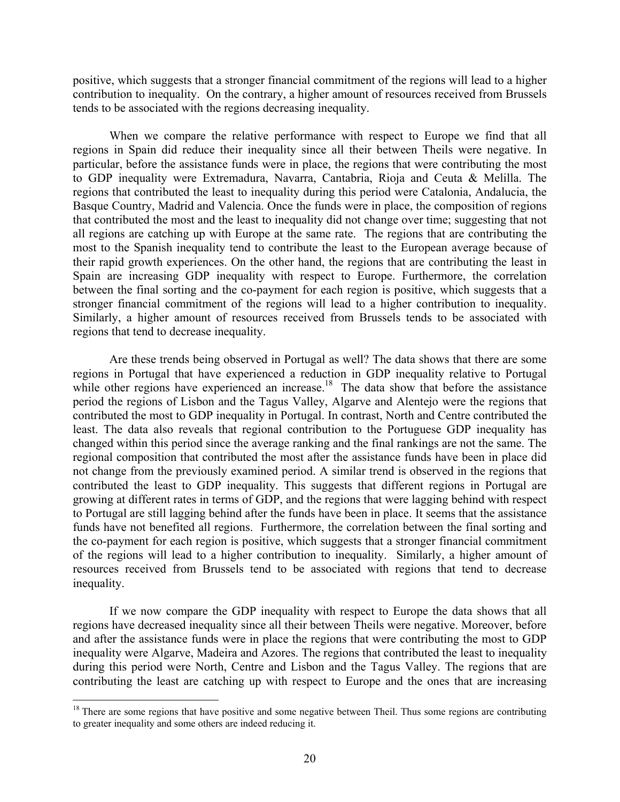positive, which suggests that a stronger financial commitment of the regions will lead to a higher contribution to inequality. On the contrary, a higher amount of resources received from Brussels tends to be associated with the regions decreasing inequality.

When we compare the relative performance with respect to Europe we find that all regions in Spain did reduce their inequality since all their between Theils were negative. In particular, before the assistance funds were in place, the regions that were contributing the most to GDP inequality were Extremadura, Navarra, Cantabria, Rioja and Ceuta & Melilla. The regions that contributed the least to inequality during this period were Catalonia, Andalucia, the Basque Country, Madrid and Valencia. Once the funds were in place, the composition of regions that contributed the most and the least to inequality did not change over time; suggesting that not all regions are catching up with Europe at the same rate. The regions that are contributing the most to the Spanish inequality tend to contribute the least to the European average because of their rapid growth experiences. On the other hand, the regions that are contributing the least in Spain are increasing GDP inequality with respect to Europe. Furthermore, the correlation between the final sorting and the co-payment for each region is positive, which suggests that a stronger financial commitment of the regions will lead to a higher contribution to inequality. Similarly, a higher amount of resources received from Brussels tends to be associated with regions that tend to decrease inequality.

Are these trends being observed in Portugal as well? The data shows that there are some regions in Portugal that have experienced a reduction in GDP inequality relative to Portugal while other regions have experienced an increase.<sup>18</sup> The data show that before the assistance period the regions of Lisbon and the Tagus Valley, Algarve and Alentejo were the regions that contributed the most to GDP inequality in Portugal. In contrast, North and Centre contributed the least. The data also reveals that regional contribution to the Portuguese GDP inequality has changed within this period since the average ranking and the final rankings are not the same. The regional composition that contributed the most after the assistance funds have been in place did not change from the previously examined period. A similar trend is observed in the regions that contributed the least to GDP inequality. This suggests that different regions in Portugal are growing at different rates in terms of GDP, and the regions that were lagging behind with respect to Portugal are still lagging behind after the funds have been in place. It seems that the assistance funds have not benefited all regions. Furthermore, the correlation between the final sorting and the co-payment for each region is positive, which suggests that a stronger financial commitment of the regions will lead to a higher contribution to inequality. Similarly, a higher amount of resources received from Brussels tend to be associated with regions that tend to decrease inequality.

If we now compare the GDP inequality with respect to Europe the data shows that all regions have decreased inequality since all their between Theils were negative. Moreover, before and after the assistance funds were in place the regions that were contributing the most to GDP inequality were Algarve, Madeira and Azores. The regions that contributed the least to inequality during this period were North, Centre and Lisbon and the Tagus Valley. The regions that are contributing the least are catching up with respect to Europe and the ones that are increasing

 $18$  There are some regions that have positive and some negative between Theil. Thus some regions are contributing to greater inequality and some others are indeed reducing it.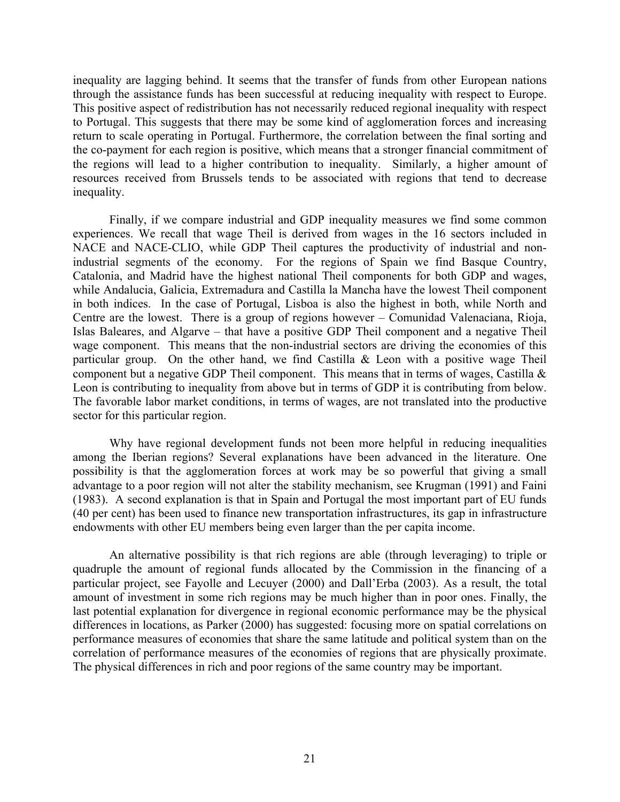inequality are lagging behind. It seems that the transfer of funds from other European nations through the assistance funds has been successful at reducing inequality with respect to Europe. This positive aspect of redistribution has not necessarily reduced regional inequality with respect to Portugal. This suggests that there may be some kind of agglomeration forces and increasing return to scale operating in Portugal. Furthermore, the correlation between the final sorting and the co-payment for each region is positive, which means that a stronger financial commitment of the regions will lead to a higher contribution to inequality. Similarly, a higher amount of resources received from Brussels tends to be associated with regions that tend to decrease inequality.

Finally, if we compare industrial and GDP inequality measures we find some common experiences. We recall that wage Theil is derived from wages in the 16 sectors included in NACE and NACE-CLIO, while GDP Theil captures the productivity of industrial and nonindustrial segments of the economy. For the regions of Spain we find Basque Country, Catalonia, and Madrid have the highest national Theil components for both GDP and wages, while Andalucia, Galicia, Extremadura and Castilla la Mancha have the lowest Theil component in both indices. In the case of Portugal, Lisboa is also the highest in both, while North and Centre are the lowest. There is a group of regions however – Comunidad Valenaciana, Rioja, Islas Baleares, and Algarve – that have a positive GDP Theil component and a negative Theil wage component. This means that the non-industrial sectors are driving the economies of this particular group. On the other hand, we find Castilla  $\&$  Leon with a positive wage Theil component but a negative GDP Theil component. This means that in terms of wages, Castilla & Leon is contributing to inequality from above but in terms of GDP it is contributing from below. The favorable labor market conditions, in terms of wages, are not translated into the productive sector for this particular region.

Why have regional development funds not been more helpful in reducing inequalities among the Iberian regions? Several explanations have been advanced in the literature. One possibility is that the agglomeration forces at work may be so powerful that giving a small advantage to a poor region will not alter the stability mechanism, see Krugman (1991) and Faini (1983). A second explanation is that in Spain and Portugal the most important part of EU funds (40 per cent) has been used to finance new transportation infrastructures, its gap in infrastructure endowments with other EU members being even larger than the per capita income.

An alternative possibility is that rich regions are able (through leveraging) to triple or quadruple the amount of regional funds allocated by the Commission in the financing of a particular project, see Fayolle and Lecuyer (2000) and Dall'Erba (2003). As a result, the total amount of investment in some rich regions may be much higher than in poor ones. Finally, the last potential explanation for divergence in regional economic performance may be the physical differences in locations, as Parker (2000) has suggested: focusing more on spatial correlations on performance measures of economies that share the same latitude and political system than on the correlation of performance measures of the economies of regions that are physically proximate. The physical differences in rich and poor regions of the same country may be important.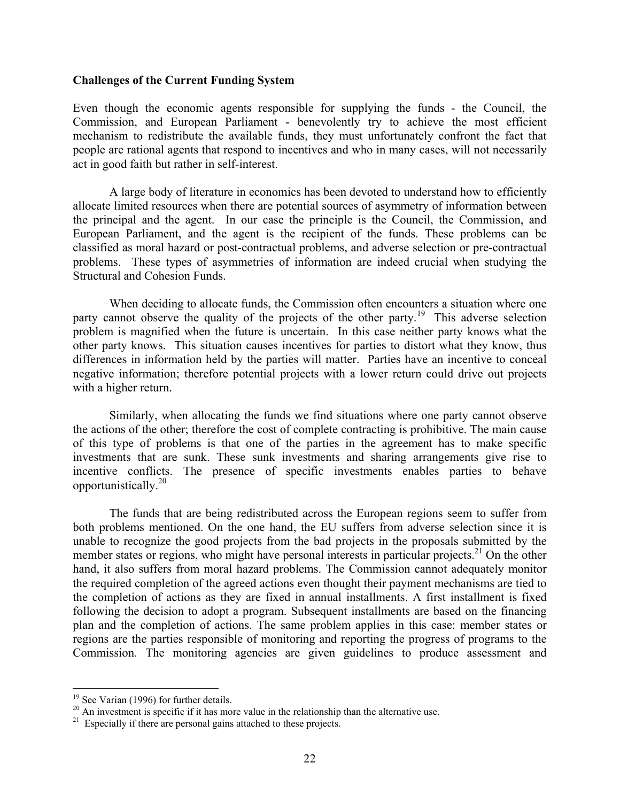#### **Challenges of the Current Funding System**

Even though the economic agents responsible for supplying the funds - the Council, the Commission, and European Parliament - benevolently try to achieve the most efficient mechanism to redistribute the available funds, they must unfortunately confront the fact that people are rational agents that respond to incentives and who in many cases, will not necessarily act in good faith but rather in self-interest.

 A large body of literature in economics has been devoted to understand how to efficiently allocate limited resources when there are potential sources of asymmetry of information between the principal and the agent. In our case the principle is the Council, the Commission, and European Parliament, and the agent is the recipient of the funds. These problems can be classified as moral hazard or post-contractual problems, and adverse selection or pre-contractual problems. These types of asymmetries of information are indeed crucial when studying the Structural and Cohesion Funds.

When deciding to allocate funds, the Commission often encounters a situation where one party cannot observe the quality of the projects of the other party.<sup>19</sup> This adverse selection problem is magnified when the future is uncertain. In this case neither party knows what the other party knows. This situation causes incentives for parties to distort what they know, thus differences in information held by the parties will matter. Parties have an incentive to conceal negative information; therefore potential projects with a lower return could drive out projects with a higher return.

Similarly, when allocating the funds we find situations where one party cannot observe the actions of the other; therefore the cost of complete contracting is prohibitive. The main cause of this type of problems is that one of the parties in the agreement has to make specific investments that are sunk. These sunk investments and sharing arrangements give rise to incentive conflicts. The presence of specific investments enables parties to behave opportunistically.20

The funds that are being redistributed across the European regions seem to suffer from both problems mentioned. On the one hand, the EU suffers from adverse selection since it is unable to recognize the good projects from the bad projects in the proposals submitted by the member states or regions, who might have personal interests in particular projects.<sup>21</sup> On the other hand, it also suffers from moral hazard problems. The Commission cannot adequately monitor the required completion of the agreed actions even thought their payment mechanisms are tied to the completion of actions as they are fixed in annual installments. A first installment is fixed following the decision to adopt a program. Subsequent installments are based on the financing plan and the completion of actions. The same problem applies in this case: member states or regions are the parties responsible of monitoring and reporting the progress of programs to the Commission. The monitoring agencies are given guidelines to produce assessment and

1

<sup>&</sup>lt;sup>19</sup> See Varian (1996) for further details.

<sup>&</sup>lt;sup>20</sup> An investment is specific if it has more value in the relationship than the alternative use.

 $21$  Especially if there are personal gains attached to these projects.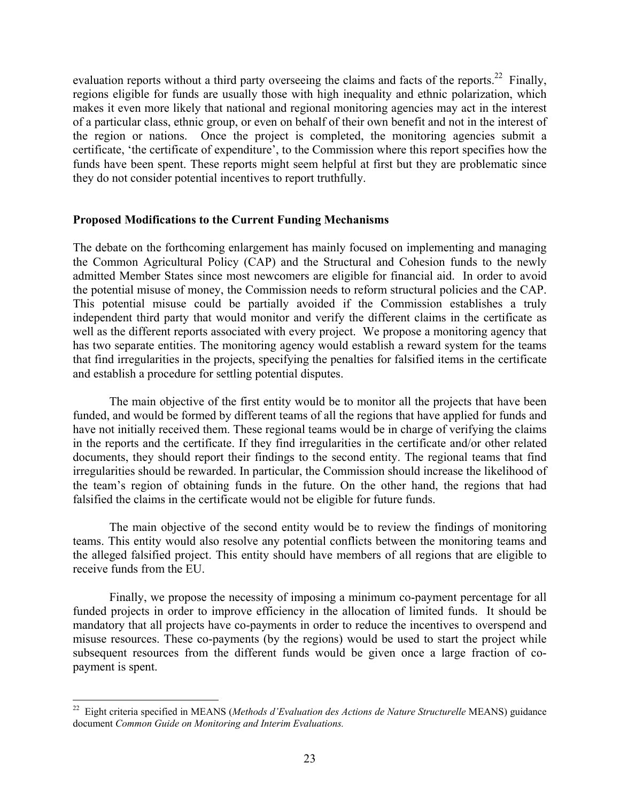evaluation reports without a third party overseeing the claims and facts of the reports.<sup>22</sup> Finally, regions eligible for funds are usually those with high inequality and ethnic polarization, which makes it even more likely that national and regional monitoring agencies may act in the interest of a particular class, ethnic group, or even on behalf of their own benefit and not in the interest of the region or nations. Once the project is completed, the monitoring agencies submit a certificate, 'the certificate of expenditure', to the Commission where this report specifies how the funds have been spent. These reports might seem helpful at first but they are problematic since they do not consider potential incentives to report truthfully.

### **Proposed Modifications to the Current Funding Mechanisms**

The debate on the forthcoming enlargement has mainly focused on implementing and managing the Common Agricultural Policy (CAP) and the Structural and Cohesion funds to the newly admitted Member States since most newcomers are eligible for financial aid. In order to avoid the potential misuse of money, the Commission needs to reform structural policies and the CAP. This potential misuse could be partially avoided if the Commission establishes a truly independent third party that would monitor and verify the different claims in the certificate as well as the different reports associated with every project. We propose a monitoring agency that has two separate entities. The monitoring agency would establish a reward system for the teams that find irregularities in the projects, specifying the penalties for falsified items in the certificate and establish a procedure for settling potential disputes.

The main objective of the first entity would be to monitor all the projects that have been funded, and would be formed by different teams of all the regions that have applied for funds and have not initially received them. These regional teams would be in charge of verifying the claims in the reports and the certificate. If they find irregularities in the certificate and/or other related documents, they should report their findings to the second entity. The regional teams that find irregularities should be rewarded. In particular, the Commission should increase the likelihood of the team's region of obtaining funds in the future. On the other hand, the regions that had falsified the claims in the certificate would not be eligible for future funds.

The main objective of the second entity would be to review the findings of monitoring teams. This entity would also resolve any potential conflicts between the monitoring teams and the alleged falsified project. This entity should have members of all regions that are eligible to receive funds from the EU.

Finally, we propose the necessity of imposing a minimum co-payment percentage for all funded projects in order to improve efficiency in the allocation of limited funds. It should be mandatory that all projects have co-payments in order to reduce the incentives to overspend and misuse resources. These co-payments (by the regions) would be used to start the project while subsequent resources from the different funds would be given once a large fraction of copayment is spent.

1

<sup>22</sup> Eight criteria specified in MEANS (*Methods d'Evaluation des Actions de Nature Structurelle* MEANS) guidance document *Common Guide on Monitoring and Interim Evaluations.*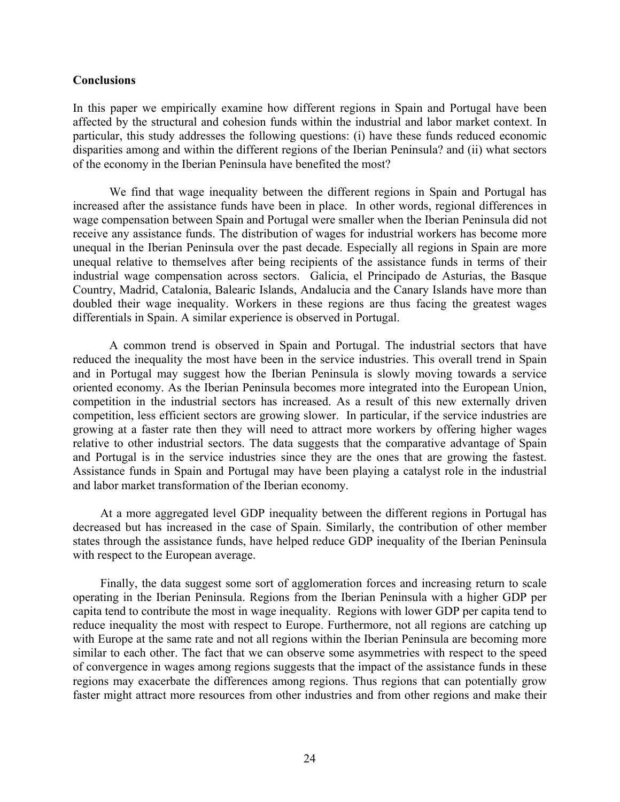### **Conclusions**

In this paper we empirically examine how different regions in Spain and Portugal have been affected by the structural and cohesion funds within the industrial and labor market context. In particular, this study addresses the following questions: (i) have these funds reduced economic disparities among and within the different regions of the Iberian Peninsula? and (ii) what sectors of the economy in the Iberian Peninsula have benefited the most?

We find that wage inequality between the different regions in Spain and Portugal has increased after the assistance funds have been in place. In other words, regional differences in wage compensation between Spain and Portugal were smaller when the Iberian Peninsula did not receive any assistance funds. The distribution of wages for industrial workers has become more unequal in the Iberian Peninsula over the past decade. Especially all regions in Spain are more unequal relative to themselves after being recipients of the assistance funds in terms of their industrial wage compensation across sectors. Galicia, el Principado de Asturias, the Basque Country, Madrid, Catalonia, Balearic Islands, Andalucia and the Canary Islands have more than doubled their wage inequality. Workers in these regions are thus facing the greatest wages differentials in Spain. A similar experience is observed in Portugal.

A common trend is observed in Spain and Portugal. The industrial sectors that have reduced the inequality the most have been in the service industries. This overall trend in Spain and in Portugal may suggest how the Iberian Peninsula is slowly moving towards a service oriented economy. As the Iberian Peninsula becomes more integrated into the European Union, competition in the industrial sectors has increased. As a result of this new externally driven competition, less efficient sectors are growing slower. In particular, if the service industries are growing at a faster rate then they will need to attract more workers by offering higher wages relative to other industrial sectors. The data suggests that the comparative advantage of Spain and Portugal is in the service industries since they are the ones that are growing the fastest. Assistance funds in Spain and Portugal may have been playing a catalyst role in the industrial and labor market transformation of the Iberian economy.

At a more aggregated level GDP inequality between the different regions in Portugal has decreased but has increased in the case of Spain. Similarly, the contribution of other member states through the assistance funds, have helped reduce GDP inequality of the Iberian Peninsula with respect to the European average.

Finally, the data suggest some sort of agglomeration forces and increasing return to scale operating in the Iberian Peninsula. Regions from the Iberian Peninsula with a higher GDP per capita tend to contribute the most in wage inequality. Regions with lower GDP per capita tend to reduce inequality the most with respect to Europe. Furthermore, not all regions are catching up with Europe at the same rate and not all regions within the Iberian Peninsula are becoming more similar to each other. The fact that we can observe some asymmetries with respect to the speed of convergence in wages among regions suggests that the impact of the assistance funds in these regions may exacerbate the differences among regions. Thus regions that can potentially grow faster might attract more resources from other industries and from other regions and make their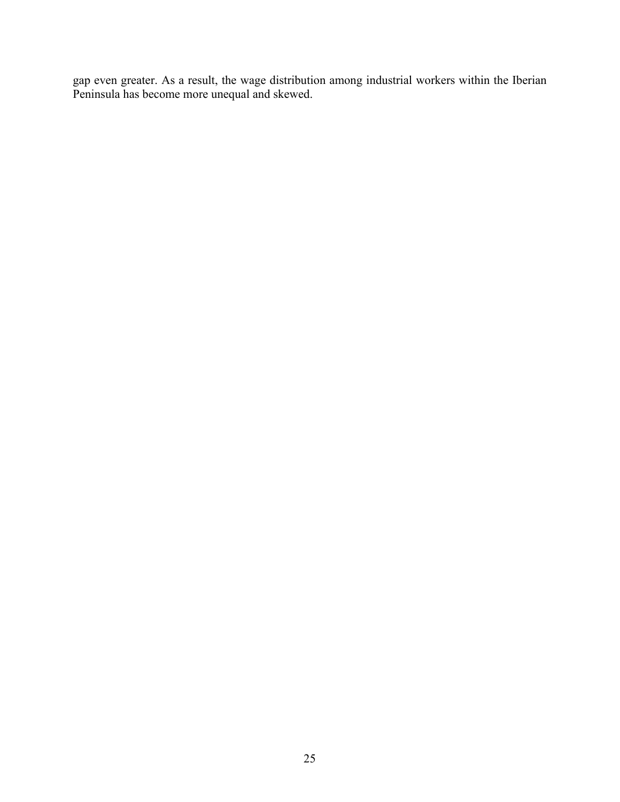gap even greater. As a result, the wage distribution among industrial workers within the Iberian Peninsula has become more unequal and skewed.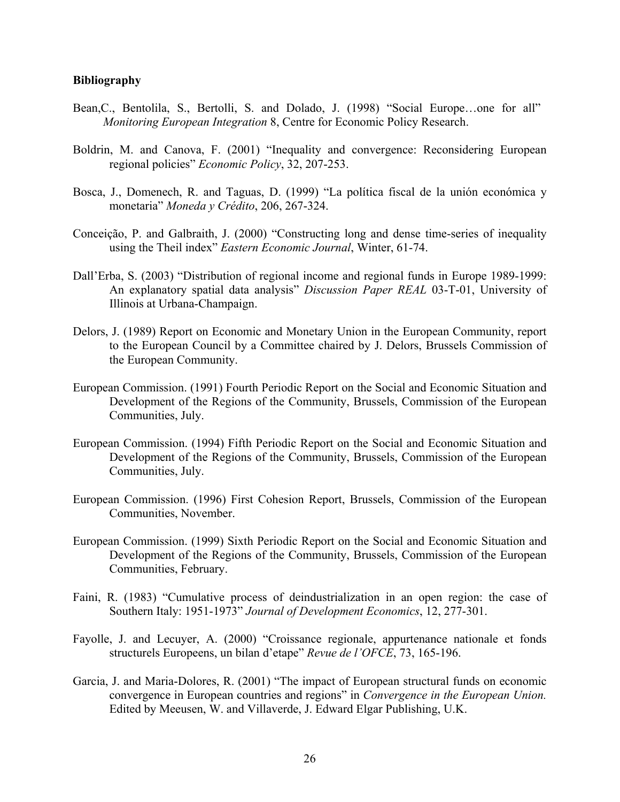### **Bibliography**

- Bean,C., Bentolila, S., Bertolli, S. and Dolado, J. (1998) "Social Europe…one for all" *Monitoring European Integration* 8, Centre for Economic Policy Research.
- Boldrin, M. and Canova, F. (2001) "Inequality and convergence: Reconsidering European regional policies" *Economic Policy*, 32, 207-253.
- Bosca, J., Domenech, R. and Taguas, D. (1999) "La política fiscal de la unión económica y monetaria" *Moneda y Crédito*, 206, 267-324.
- Conceição, P. and Galbraith, J. (2000) "Constructing long and dense time-series of inequality using the Theil index" *Eastern Economic Journal*, Winter, 61-74.
- Dall'Erba, S. (2003) "Distribution of regional income and regional funds in Europe 1989-1999: An explanatory spatial data analysis" *Discussion Paper REAL* 03-T-01, University of Illinois at Urbana-Champaign.
- Delors, J. (1989) Report on Economic and Monetary Union in the European Community, report to the European Council by a Committee chaired by J. Delors, Brussels Commission of the European Community.
- European Commission. (1991) Fourth Periodic Report on the Social and Economic Situation and Development of the Regions of the Community, Brussels, Commission of the European Communities, July.
- European Commission. (1994) Fifth Periodic Report on the Social and Economic Situation and Development of the Regions of the Community, Brussels, Commission of the European Communities, July.
- European Commission. (1996) First Cohesion Report, Brussels, Commission of the European Communities, November.
- European Commission. (1999) Sixth Periodic Report on the Social and Economic Situation and Development of the Regions of the Community, Brussels, Commission of the European Communities, February.
- Faini, R. (1983) "Cumulative process of deindustrialization in an open region: the case of Southern Italy: 1951-1973" *Journal of Development Economics*, 12, 277-301.
- Fayolle, J. and Lecuyer, A. (2000) "Croissance regionale, appurtenance nationale et fonds structurels Europeens, un bilan d'etape" *Revue de l'OFCE*, 73, 165-196.
- Garcia, J. and Maria-Dolores, R. (2001) "The impact of European structural funds on economic convergence in European countries and regions" in *Convergence in the European Union.*  Edited by Meeusen, W. and Villaverde, J. Edward Elgar Publishing, U.K.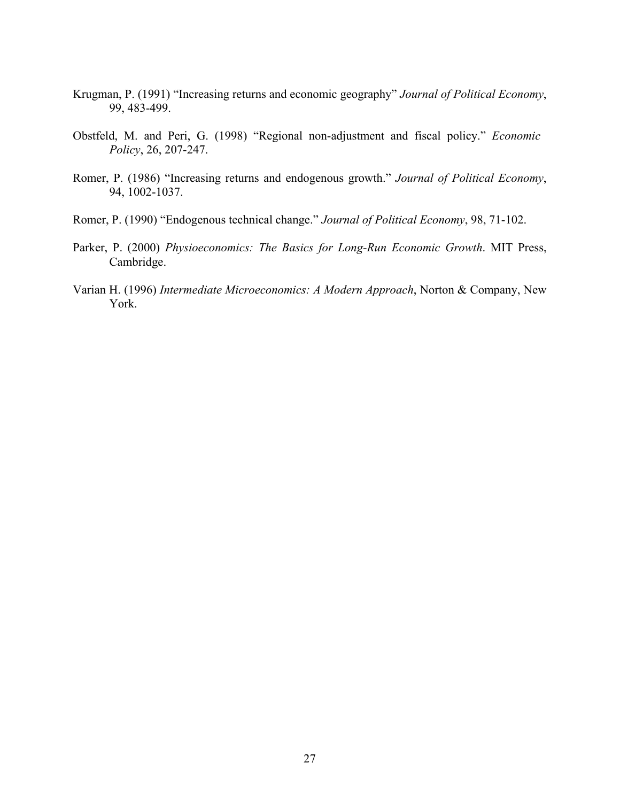- Krugman, P. (1991) "Increasing returns and economic geography" *Journal of Political Economy*, 99, 483-499.
- Obstfeld, M. and Peri, G. (1998) "Regional non-adjustment and fiscal policy." *Economic Policy*, 26, 207-247.
- Romer, P. (1986) "Increasing returns and endogenous growth." *Journal of Political Economy*, 94, 1002-1037.
- Romer, P. (1990) "Endogenous technical change." *Journal of Political Economy*, 98, 71-102.
- Parker, P. (2000) *Physioeconomics: The Basics for Long-Run Economic Growth*. MIT Press, Cambridge.
- Varian H. (1996) *Intermediate Microeconomics: A Modern Approach*, Norton & Company, New York.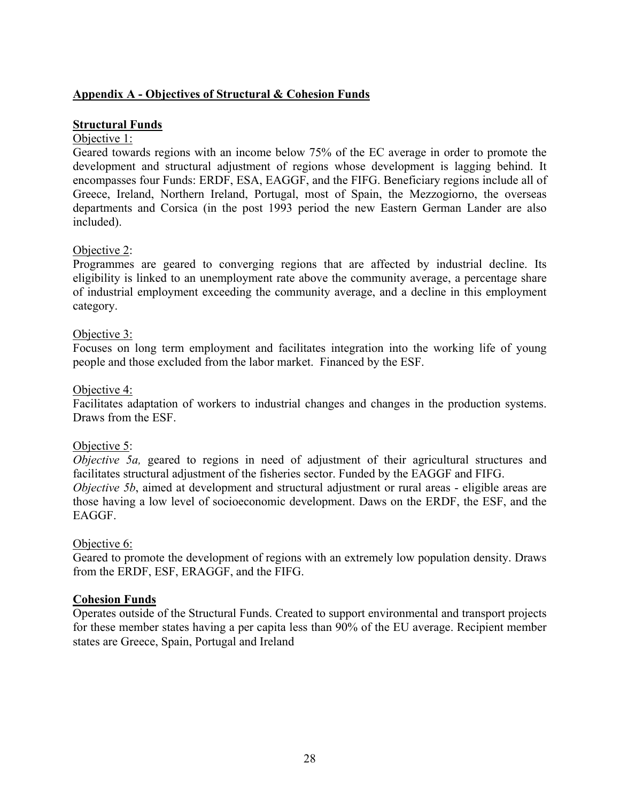## **Appendix A - Objectives of Structural & Cohesion Funds**

## **Structural Funds**

## Objective 1:

Geared towards regions with an income below 75% of the EC average in order to promote the development and structural adjustment of regions whose development is lagging behind. It encompasses four Funds: ERDF, ESA, EAGGF, and the FIFG. Beneficiary regions include all of Greece, Ireland, Northern Ireland, Portugal, most of Spain, the Mezzogiorno, the overseas departments and Corsica (in the post 1993 period the new Eastern German Lander are also included).

## Objective 2:

Programmes are geared to converging regions that are affected by industrial decline. Its eligibility is linked to an unemployment rate above the community average, a percentage share of industrial employment exceeding the community average, and a decline in this employment category.

## Objective 3:

Focuses on long term employment and facilitates integration into the working life of young people and those excluded from the labor market. Financed by the ESF.

### Objective 4:

Facilitates adaptation of workers to industrial changes and changes in the production systems. Draws from the ESF.

## Objective 5:

*Objective 5a*, geared to regions in need of adjustment of their agricultural structures and facilitates structural adjustment of the fisheries sector. Funded by the EAGGF and FIFG. *Objective 5b*, aimed at development and structural adjustment or rural areas - eligible areas are those having a low level of socioeconomic development. Daws on the ERDF, the ESF, and the EAGGF.

### Objective 6:

Geared to promote the development of regions with an extremely low population density. Draws from the ERDF, ESF, ERAGGF, and the FIFG.

## **Cohesion Funds**

Operates outside of the Structural Funds. Created to support environmental and transport projects for these member states having a per capita less than 90% of the EU average. Recipient member states are Greece, Spain, Portugal and Ireland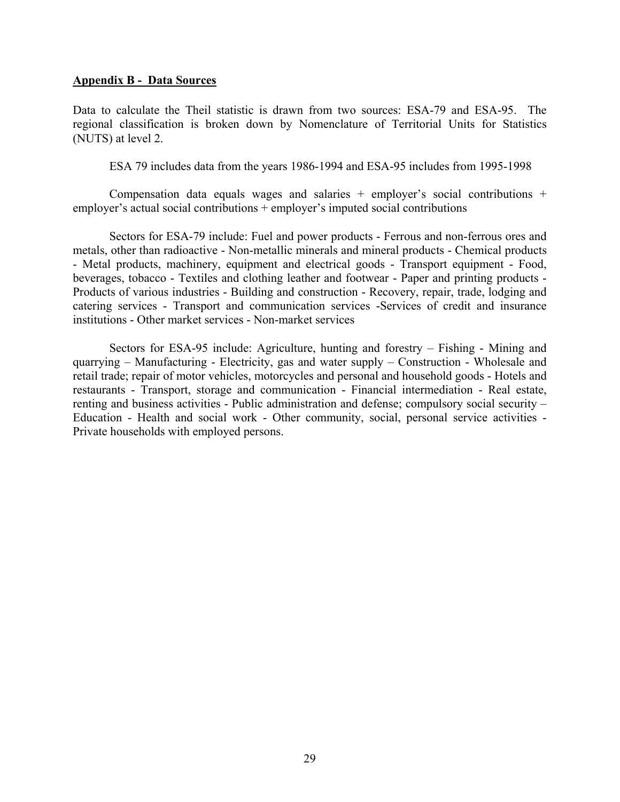### **Appendix B - Data Sources**

Data to calculate the Theil statistic is drawn from two sources: ESA-79 and ESA-95. The regional classification is broken down by Nomenclature of Territorial Units for Statistics (NUTS) at level 2.

ESA 79 includes data from the years 1986-1994 and ESA-95 includes from 1995-1998

Compensation data equals wages and salaries + employer's social contributions + employer's actual social contributions + employer's imputed social contributions

Sectors for ESA-79 include: Fuel and power products - Ferrous and non-ferrous ores and metals, other than radioactive - Non-metallic minerals and mineral products - Chemical products - Metal products, machinery, equipment and electrical goods - Transport equipment - Food, beverages, tobacco - Textiles and clothing leather and footwear - Paper and printing products - Products of various industries - Building and construction - Recovery, repair, trade, lodging and catering services - Transport and communication services -Services of credit and insurance institutions - Other market services - Non-market services

Sectors for ESA-95 include: Agriculture, hunting and forestry – Fishing - Mining and quarrying – Manufacturing - Electricity, gas and water supply – Construction - Wholesale and retail trade; repair of motor vehicles, motorcycles and personal and household goods - Hotels and restaurants - Transport, storage and communication - Financial intermediation - Real estate, renting and business activities - Public administration and defense; compulsory social security – Education - Health and social work - Other community, social, personal service activities - Private households with employed persons.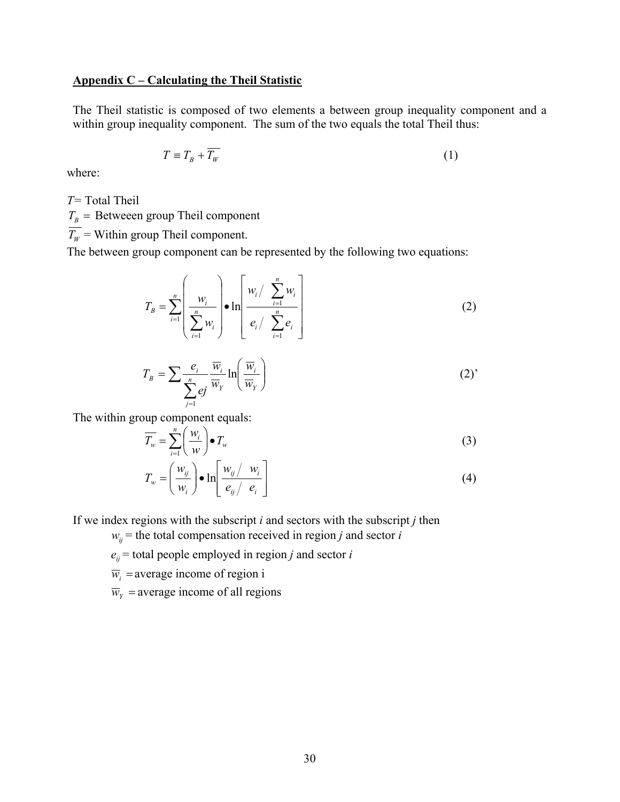### **Appendix C – Calculating the Theil Statistic**

The Theil statistic is composed of two elements a between group inequality component and a within group inequality component. The sum of the two equals the total Theil thus:

$$
T \equiv T_B + T_W \tag{1}
$$

where:

*T=* Total Theil

 $T_B$  = Betweeen group Theil component

 $\overline{T_w}$  = Within group Theil component.

The between group component can be represented by the following two equations:

$$
T_B = \sum_{i=1}^n \left( \frac{w_i}{\sum_{i=1}^n w_i} \right) \bullet \ln \left[ \frac{w_i / \sum_{i=1}^n w_i}{e_i / \sum_{i=1}^n e_i} \right]
$$
(2)

$$
T_B = \sum \frac{e_i}{\sum_{j=1}^n e_j} \frac{\overline{w}_i}{\overline{w}_Y} \ln \left( \frac{\overline{w}_i}{\overline{w}_Y} \right)
$$
 (2)

The within group component equals:

$$
\overline{T_w} = \sum_{i=1}^n \left( \frac{w_i}{w} \right) \bullet T_w \tag{3}
$$

$$
T_w = \left(\frac{w_{ij}}{w_i}\right) \bullet \ln \left[\frac{w_{ij}/w_i}{e_{ij}/e_i}\right]
$$
 (4)

If we index regions with the subscript *i* and sectors with the subscript *j* then

 $w_{ij}$  = the total compensation received in region *j* and sector *i* 

 $e_{ij}$  = total people employed in region *j* and sector *i* 

 $\overline{w}_i$  = average income of region i

 $\overline{w}_y$  = average income of all regions